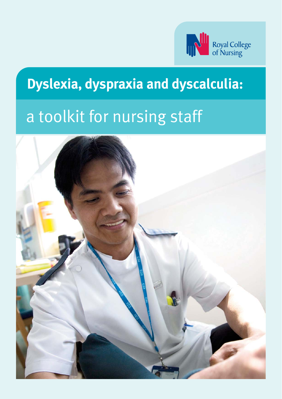

## **Dyslexia, dyspraxia and dyscalculia:**

## a toolkit for nursing staff

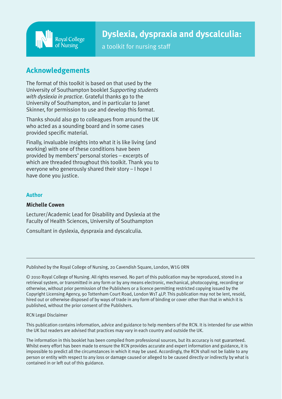

## **Dyslexia, dyspraxia and dyscalculia:**

a toolkit for nursing staff

## **Acknowledgements**

The format of this toolkit is based on that used by the University of Southampton booklet *Supporting students with dyslexia in practice*. Grateful thanks go to the University of Southampton, and in particular to Janet Skinner, for permission to use and develop this format.

Thanks should also go to colleagues from around the UK who acted as a sounding board and in some cases provided specific material.

Finally, invaluable insights into what it is like living (and working) with one of these conditions have been provided by members' personal stories – excerpts of which are threaded throughout this toolkit. Thank you to everyone who generously shared their story – I hope I have done you justice.

### **Author**

### **Michelle Cowen**

Lecturer/Academic Lead for Disability and Dyslexia at the Faculty of Health Sciences, University of Southampton

Consultant in dyslexia, dyspraxia and dyscalculia.

Published by the Royal College of Nursing, 20 Cavendish Square, London, W1G 0RN

© 2010 Royal College of Nursing. All rights reserved. No part of this publication may be reproduced, stored in a retrieval system, or transmitted in any form or by any means electronic, mechanical, photocopying, recording or otherwise, without prior permission of the Publishers or a licence permitting restricted copying issued by the Copyright Licensing Agency, 90 Tottenham Court Road, London W1T 4LP. This publication may not be lent, resold, hired out or otherwise disposed of by ways of trade in any form of binding or cover other than that in which it is published, without the prior consent of the Publishers.

RCN Legal Disclaimer

This publication contains information, advice and guidance to help members of the RCN. It is intended for use within the UK but readers are advised that practices may vary in each country and outside the UK.

The information in this booklet has been compiled from professional sources, but its accuracy is not guaranteed. Whilst every effort has been made to ensure the RCN provides accurate and expert information and guidance, it is impossible to predict all the circumstances in which it may be used. Accordingly, the RCN shall not be liable to any person or entity with respect to any loss or damage caused or alleged to be caused directly or indirectly by what is contained in or left out of this guidance.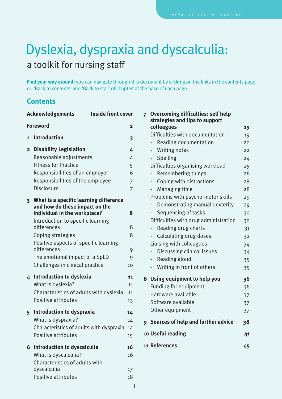## <span id="page-2-0"></span>Dyslexia, dyspraxia and dyscalculia: a toolkit for nursing staff

**Find your way around:** you can navigate through this document by clicking on the links in the contents page or 'Back to contents' and 'Back to start of chapter' at the base of each page.

## **Contents**

| <b>Inside front cover</b><br><b>Acknowledgements</b> |                                                                                                                                                                                    |                                         |
|------------------------------------------------------|------------------------------------------------------------------------------------------------------------------------------------------------------------------------------------|-----------------------------------------|
| <b>Foreword</b><br>$\mathbf{2}$                      |                                                                                                                                                                                    |                                         |
| 1                                                    | <b>Introduction</b>                                                                                                                                                                | 3                                       |
| $\overline{2}$                                       | <b>Disability Legislation</b><br>Reasonable adjustments<br><b>Fitness for Practice</b><br>Responsibilities of an employer<br>Responsibilities of the employee<br><b>Disclosure</b> | 4<br>4<br>5<br>6<br>7<br>$\overline{7}$ |
| $\overline{\mathbf{3}}$                              | What is a specific learning difference<br>and how do these impact on the<br>individual in the workplace?<br>Introduction to specific learning                                      | 8                                       |
|                                                      | differences<br>Coping strategies                                                                                                                                                   | 8<br>8                                  |
|                                                      | Positive aspects of specific learning<br>differences<br>The emotional impact of a SpLD<br>Challenges in clinical practice                                                          | 9<br>9<br>10                            |
| 4                                                    | <b>Introduction to dyslexia</b><br>What is dyslexia?<br>Characteristics of adults with dyslexia<br>Positive attributes                                                             | 11<br>11<br>11<br>13                    |
| 5                                                    | Introduction to dyspraxia<br>What is dyspraxia?<br>Characteristics of adults with dyspraxia<br>Positive attributes                                                                 | 14<br>14<br>14<br>15                    |
| 6                                                    | Introduction to dyscalculia<br>What is dyscalculia?<br>Characteristics of adults with<br>dyscalculia<br>Positive attributes                                                        | 16<br>16<br>17<br>18                    |

| $\overline{7}$    | <b>Overcoming difficulties: self help</b>    |    |
|-------------------|----------------------------------------------|----|
|                   | strategies and tips to support<br>colleagues |    |
|                   | Difficulties with documentation              | 19 |
|                   |                                              | 19 |
|                   | Reading documentation                        | 20 |
|                   | <b>Writing notes</b>                         | 22 |
|                   | Spelling                                     | 24 |
|                   | Difficulties organising workload             | 25 |
|                   | Remembering things                           | 26 |
|                   | Coping with distractions<br>÷                | 28 |
|                   | Managing time                                | 28 |
|                   | Problems with psycho-motor skills            | 29 |
|                   | Demonstrating manual dexterity               | 29 |
|                   | Sequencing of tasks                          | 30 |
|                   | Difficulties with drug administration        | 30 |
|                   | Reading drug charts                          | 31 |
|                   | Calculating drug doses                       | 32 |
|                   | Liaising with colleagues                     | 34 |
|                   | Discussing clinical issues                   | 34 |
|                   | Reading aloud<br>-                           | 35 |
|                   | Writing in front of others                   | 35 |
| 8                 | Using equipment to help you                  | 36 |
|                   | <b>Funding for equipment</b>                 | 36 |
|                   | Hardware available                           | 37 |
|                   | Software available                           | 37 |
|                   | Other equipment                              | 37 |
| 9                 | Sources of help and further advice           | 38 |
| 10 Useful reading |                                              | 41 |
|                   | 11 References                                | 45 |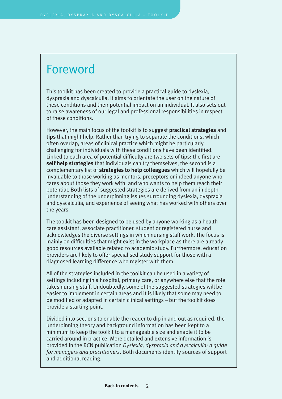## <span id="page-3-0"></span>Foreword

This toolkit has been created to provide a practical guide to dyslexia, dyspraxia and dyscalculia. It aims to orientate the user on the nature of these conditions and their potential impact on an individual. It also sets out to raise awareness of our legal and professional responsibilities in respect of these conditions.

However, the main focus of the toolkit is to suggest **practical strategies** and **tips** that might help. Rather than trying to separate the conditions, which often overlap, areas of clinical practice which might be particularly challenging for individuals with these conditions have been identified. Linked to each area of potential difficulty are two sets of tips; the first are **self help strategies** that individuals can try themselves, the second is a complementary list of **strategies to help colleagues** which will hopefully be invaluable to those working as mentors, preceptors or indeed anyone who cares about those they work with, and who wants to help them reach their potential. Both lists of suggested strategies are derived from an in depth understanding of the underpinning issues surrounding dyslexia, dyspraxia and dyscalculia, and experience of seeing what has worked with others over the years.

The toolkit has been designed to be used by anyone working as a health care assistant, associate practitioner, student or registered nurse and acknowledges the diverse settings in which nursing staff work. The focus is mainly on difficulties that might exist in the workplace as there are already good resources available related to academic study. Furthermore, education providers are likely to offer specialised study support for those with a diagnosed learning difference who register with them.

All of the strategies included in the toolkit can be used in a variety of settings including in a hospital, primary care, or anywhere else that the role takes nursing staff. Undoubtedly, some of the suggested strategies will be easier to implement in certain areas and it is likely that some may need to be modified or adapted in certain clinical settings – but the toolkit does provide a starting point.

Divided into sections to enable the reader to dip in and out as required, the underpinning theory and background information has been kept to a minimum to keep the toolkit to a manageable size and enable it to be carried around in practice. More detailed and extensive information is provided in the RCN publication *Dyslexia, dyspraxia and dyscalculia: a guide for managers and practitioners*. Both documents identify sources of support and additional reading.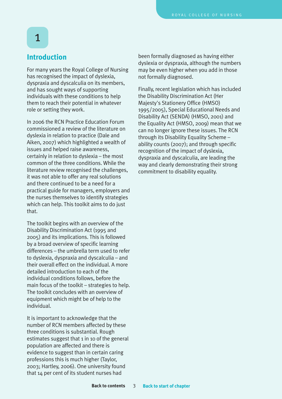## **Introduction**

<span id="page-4-0"></span>1

For many years the Royal College of Nursing has recognised the impact of dyslexia, dyspraxia and dyscalculia on its members, and has sought ways of supporting individuals with these conditions to help them to reach their potential in whatever role or setting they work.

In 2006 the RCN Practice Education Forum commissioned a review of the literature on dyslexia in relation to practice (Dale and Aiken, 2007) which highlighted a wealth of issues and helped raise awareness, certainly in relation to dyslexia – the most common of the three conditions. While the literature review recognised the challenges, it was not able to offer any real solutions and there continued to be a need for a practical guide for managers, employers and the nurses themselves to identify strategies which can help. This toolkit aims to do just that.

The toolkit begins with an overview of the Disability Discrimination Act (1995 and 2005) and its implications. This is followed by a broad overview of specific learning differences – the umbrella term used to refer to dyslexia, dyspraxia and dyscalculia – and their overall effect on the individual. A more detailed introduction to each of the individual conditions follows, before the main focus of the toolkit – strategies to help. The toolkit concludes with an overview of equipment which might be of help to the individual.

It is important to acknowledge that the number of RCN members affected by these three conditions is substantial. Rough estimates suggest that 1 in 10 of the general population are affected and there is evidence to suggest than in certain caring professions this is much higher (Taylor, 2003; Hartley, 2006). One university found that 14 per cent of its student nurses had

been formally diagnosed as having either dyslexia or dyspraxia, although the numbers may be even higher when you add in those not formally diagnosed.

Finally, recent legislation which has included the Disability Discrimination Act (Her Majesty's Stationery Office (HMSO) 1995/2005), Special Educational Needs and Disability Act (SENDA) (HMSO, 2001) and the Equality Act (HMSO, 2009) mean that we can no longer ignore these issues. The RCN through its Disability Equality Scheme – ability counts (2007); and through specific recognition of the impact of dyslexia, dyspraxia and dyscalculia, are leading the way and clearly demonstrating their strong commitment to disability equality.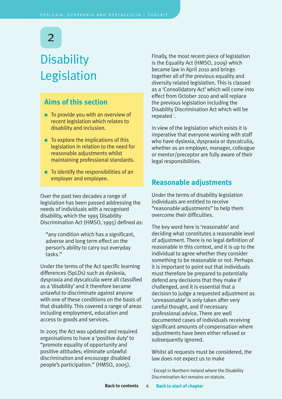## <span id="page-5-0"></span>**Disability** Legislation

## **Aims of this section**

- To provide you with an overview of recent legislation which relates to disability and inclusion.
- $\bullet$  To explore the implications of this legislation in relation to the need for reasonable adjustments whilst maintaining professional standards.
- To identify the responsibilities of an employer and employee.

Over the past two decades a range of legislation has been passed addressing the needs of individuals with a recognised disability, which the 1995 Disability Discrimination Act (HMSO, 1995) defined as:

"any condition which has a significant, adverse and long term effect on the person's ability to carry out everyday tasks."

Under the terms of the Act specific learning differences (SpLDs) such as dyslexia, dyspraxia and dyscalculia were all classified as a 'disability' and it therefore became unlawful to discriminate against anyone with one of these conditions on the basis of that disability. This covered a range of areas including employment, education and access to goods and services.

In 2005 the Act was updated and required organisations to have a 'positive duty' to "promote equality of opportunity and positive attitudes; eliminate unlawful discrimination and encourage disabled people's participation." (HMSO, 2005).

Finally, the most recent piece of legislation is the Equality Act (HMSO, 2009) which became law in April 2010 and brings together all of the previous equality and diversity related legislation. This is classed as a 'Consolidatory Act'which will come into effect from October 2010 and will replace the previous legislation including the Disability Discrimination Act which will be repealed  $^{1}$ .

In view of the legislation which exists it is imperative that everyone working with staff who have dyslexia, dyspraxia or dyscalculia, whether as an employer, manager, colleague or mentor/preceptor are fully aware of their legal responsibilities.

## **Reasonable adjustments**

Under the terms of disability legislation individuals are entitled to receive "reasonable adjustments" to help them overcome their difficulties.

The key word here is 'reasonable' and deciding what constitutes a reasonable level of adjustment. There is no legal definition of reasonable in this context, and it is up to the individual to agree whether they consider something to be reasonable or not. Perhaps it is important to point out that individuals must therefore be prepared to potentially defend any decisions that they make if challenged, and it is essential that a decision to judge a requested adjustment as 'unreasonable' is only taken after very careful thought, and if necessary professional advice. There are well documented cases of individuals receiving significant amounts of compensation where adjustments have been either refused or subsequently ignored.

Whilst all requests must be considered, the law does not expect us to make

<sup>1</sup> Except in Northern Ireland where the Disability Discrimination Act remains on statute.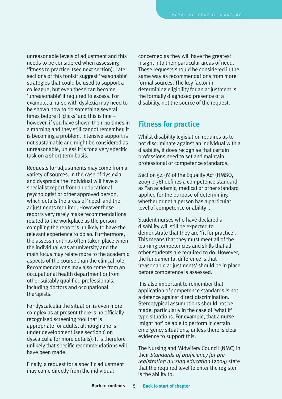<span id="page-6-0"></span>unreasonable levels of adjustment and this needs to be considered when assessing 'fitness to practice' (see next section). Later sections of this toolkit suggest 'reasonable' strategies that could be used to support a colleague, but even these can become 'unreasonable' if required to excess. For example, a nurse with dyslexia may need to be shown how to do something several times before it 'clicks' and this is fine – however, if you have shown them 10 times in a morning and they still cannot remember, it is becoming a problem. Intensive support is not sustainable and might be considered as unreasonable, unless it is for a very specific task on a short term basis.

Requests for adjustments may come from a variety of sources. In the case of dyslexia and dyspraxia the individual will have a specialist report from an educational psychologist or other approved person, which details the areas of 'need' and the adjustments required. However these reports very rarely make recommendations related to the workplace as the person compiling the report is unlikely to have the relevant experience to do so. Furthermore, the assessment has often taken place when the individual was at university and the main focus may relate more to the academic aspects of the course than the clinical role. Recommendations may also come from an occupational health department or from other suitably qualified professionals, including doctors and occupational therapists.

For dyscalculia the situation is even more complex as at present there is no officially recognised screening tool that is appropriate for adults, although one is under development (see section 6 on dyscalculia for more details). It is therefore unlikely that specific recommendations will have been made.

Finally, a request for a specific adjustment may come directly from the individual

concerned as they will have the greatest insight into their particular areas of need. These requests should be considered in the same way as recommendations from more formal sources. The key factor in determining eligibility for an adjustment is the formally diagnosed presence of a disability, not the source of the request.

## **Fitness for practice**

Whilst disability legislation requires us to not discriminate against an individual with a disability, it does recognise that certain professions need to set and maintain professional or competence standards.

Section 54 (6) of the Equality Act (HMSO, 2009 p 36) defines a competence standard as "an academic, medical or other standard applied for the purpose of determining whether or not a person has a particular level of competence or ability".

Student nurses who have declared a disability will still be expected to demonstrate that they are 'fit for practice'. This means that they must meet all of the learning competencies and skills that all other students are required to do. However, the fundamental difference is that 'reasonable adjustments' should be in place before competence is assessed.

It is also important to remember that application of competence standards is not a defence against direct discrimination. Stereotypical assumptions should not be made, particularly in the case of 'what if' type situations. For example, that a nurse 'might not' be able to perform in certain emergency situations, unless there is clear evidence to support this.

The Nursing and Midwifery Council (NMC) in their *Standards of proficiency for preregistration nursing education* (2004) state that the required level to enter the register is the ability to: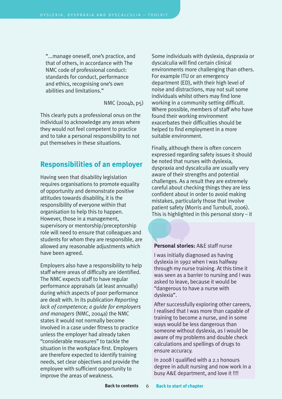<span id="page-7-0"></span>"...manage oneself, one's practice, and that of others, in accordance with The NMC code of professional conduct: standards for conduct, performance and ethics, recognising one's own abilities and limitations."

NMC (2004b, p5)

This clearly puts a professional onus on the individual to acknowledge any areas where they would not feel competent to practice and to take a personal responsibility to not put themselves in these situations.

## **Responsibilities of an employer**

Having seen that disability legislation requires organisations to promote equality of opportunity and demonstrate positive attitudes towards disability, it is the responsibility of everyone within that organisation to help this to happen. However, those in a management, supervisory or mentorship/preceptorship role will need to ensure that colleagues and students for whom they are responsible, are allowed any reasonable adjustments which have been agreed.

Employers also have a responsibility to help staff where areas of difficulty are identified. The NMC expects staff to have regular performance appraisals (at least annually) during which aspects of poor performance are dealt with. In its publication *Reporting lack of competence; a guide for employers and managers* (NMC, 2004a) the NMC states it would not normally become involved in a case under fitness to practice unless the employer had already taken "considerable measures" to tackle the situation in the workplace first. Employers are therefore expected to identify training needs, set clear objectives and provide the employee with sufficient opportunity to improve the areas of weakness.

Some individuals with dyslexia, dyspraxia or dyscalculia will find certain clinical environments more challenging than others. For example ITU or an emergency department (ED), with their high level of noise and distractions, may not suit some individuals whilst others may find lone working in a community setting difficult. Where possible, members of staff who have found their working environment exacerbates their difficulties should be helped to find employment in a more suitable environment.

Finally, although there is often concern expressed regarding safety issues it should be noted that nurses with dyslexia, dyspraxia and dyscalculia are usually very aware of their strengths and potential challenges. As a result they are extremely careful about checking things they are less confident about in order to avoid making mistakes, particularly those that involve patient safety (Morris and Turnbull, 2006). This is highlighted in this personal story – it

#### **Personal stories:** A&E staff nurse

I was initially diagnosed as having dyslexia in 1992 when I was halfway through my nurse training. At this time it was seen as a barrier to nursing and I was asked to leave, because it would be "dangerous to have a nurse with dyslexia".

After successfully exploring other careers, I realised that I was more than capable of training to become a nurse, and in some ways would be less dangerous than someone without dyslexia, as I would be aware of my problems and double check calculations and spellings of drugs to ensure accuracy.

In 2008 I qualified with a 2.1 honours degree in adult nursing and now work in a busy A&E department, and love it !!!!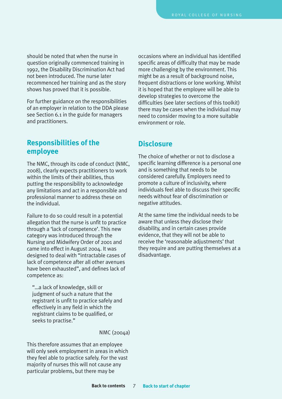<span id="page-8-0"></span>should be noted that when the nurse in question originally commenced training in 1992, the Disability Discrimination Act had not been introduced. The nurse later recommenced her training and as the story shows has proved that it is possible.

For further guidance on the responsibilities of an employer in relation to the DDA please see Section 6.1 in the guide for managers and practitioners.

## **Responsibilities of the employee**

The NMC, through its code of conduct (NMC, 2008), clearly expects practitioners to work within the limits of their abilities, thus putting the responsibility to acknowledge any limitations and act in a responsible and professional manner to address these on the individual.

Failure to do so could result in a potential allegation that the nurse is unfit to practice through a 'lack of competence'. This new category was introduced through the Nursing and Midwifery Order of 2001 and came into effect in August 2004. It was designed to deal with "intractable cases of lack of competence after all other avenues have been exhausted", and defines lack of competence as:

"…a lack of knowledge, skill or judgment of such a nature that the registrant is unfit to practice safely and effectively in any field in which the registrant claims to be qualified, or seeks to practise."

NMC (2004a)

This therefore assumes that an employee will only seek employment in areas in which they feel able to practice safely. For the vast majority of nurses this will not cause any particular problems, but there may be

occasions where an individual has identified specific areas of difficulty that may be made more challenging by the environment. This might be as a result of background noise, frequent distractions or lone working. Whilst it is hoped that the employee will be able to develop strategies to overcome the difficulties (see later sections of this toolkit) there may be cases when the individual may need to consider moving to a more suitable environment or role.

## **Disclosure**

The choice of whether or not to disclose a specific learning difference is a personal one and is something that needs to be considered carefully. Employers need to promote a culture of inclusivity, where individuals feel able to discuss their specific needs without fear of discrimination or negative attitudes.

At the same time the individual needs to be aware that unless they disclose their disability, and in certain cases provide evidence, that they will not be able to receive the 'reasonable adjustments' that they require and are putting themselves at a disadvantage.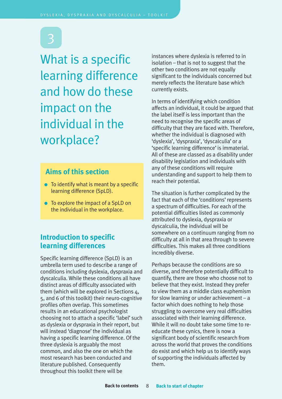<span id="page-9-0"></span>What is a specific learning difference and how do these impact on the individual in the workplace?

## **Aims of this section**

- $\bullet$  To identify what is meant by a specific learning difference (SpLD).
- To explore the impact of a SpLD on the individual in the workplace.

## **Introduction to specific learning differences**

Specific learning difference (SpLD) is an umbrella term used to describe a range of conditions including dyslexia, dyspraxia and dyscalculia. While these conditions all have distinct areas of difficulty associated with them (which will be explored in Sections 4, 5, and 6 of this toolkit) their neuro-cognitive profiles often overlap. This sometimes results in an educational psychologist choosing not to attach a specific 'label' such as dyslexia or dyspraxia in their report, but will instead 'diagnose' the individual as having a specific learning difference. Of the three dyslexia is arguably the most common, and also the one on which the most research has been conducted and literature published. Consequently throughout this toolkit there will be

instances where dyslexia is referred to in isolation – that is not to suggest that the other two conditions are not equally significant to the individuals concerned but merely reflects the literature base which currently exists.

In terms of identifying which condition affects an individual, it could be argued that the label itself is less important than the need to recognise the specific areas of difficulty that they are faced with. Therefore, whether the individual is diagnosed with 'dyslexia', 'dyspraxia', 'dyscalculia' or a 'specific learning difference' is immaterial. All of these are classed as a disability under disability legislation and individuals with any of these conditions will require understanding and support to help them to reach their potential.

The situation is further complicated by the fact that each of the 'conditions'represents a spectrum of difficulties. For each of the potential difficulties listed as commonly attributed to dyslexia, dyspraxia or dyscalculia, the individual will be somewhere on a continuum ranging from no difficulty at all in that area through to severe difficulties. This makes all three conditions incredibly diverse.

Perhaps because the conditions are so diverse, and therefore potentially difficult to quantify, there are those who choose not to believe that they exist. Instead they prefer to view them as a middle class euphemism for slow learning or under achievement – a factor which does nothing to help those struggling to overcome very real difficulties associated with their learning difference. While it will no doubt take some time to reeducate these cynics, there is now a significant body of scientific research from across the world that proves the conditions do exist and which help us to identify ways of supporting the individuals affected by them.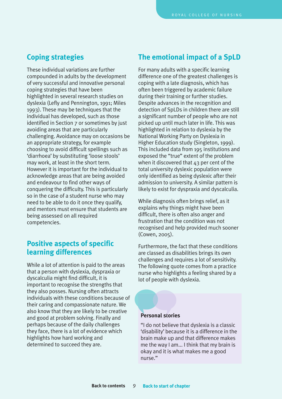## <span id="page-10-0"></span>**Coping strategies**

These individual variations are further compounded in adults by the development of very successful and innovative personal coping strategies that have been highlighted in several research studies on dyslexia (Lefly and Pennington, 1991; Miles 1993). These may be techniques that the individual has developed, such as those identified in Section 7 or sometimes by just avoiding areas that are particularly challenging. Avoidance may on occasions be an appropriate strategy, for example choosing to avoid difficult spellings such as 'diarrhoea' by substituting 'loose stools' may work, at least in the short term. However it is important for the individual to acknowledge areas that are being avoided and endeavour to find other ways of conquering the difficulty. This is particularly so in the case of a student nurse who may need to be able to do it once they qualify, and mentors must ensure that students are being assessed on all required competencies.

## **Positive aspects of specific learning differences**

While a lot of attention is paid to the areas that a person with dyslexia, dyspraxia or dyscalculia might find difficult, it is important to recognise the strengths that they also posses. Nursing often attracts individuals with these conditions because of their caring and compassionate nature. We also know that they are likely to be creative and good at problem solving. Finally and perhaps because of the daily challenges they face, there is a lot of evidence which highlights how hard working and determined to succeed they are.

## **The emotional impact of a SpLD**

For many adults with a specific learning difference one of the greatest challenges is coping with a late diagnosis, which has often been triggered by academic failure during their training or further studies. Despite advances in the recognition and detection of SpLDs in children there are still a significant number of people who are not picked up until much later in life. This was highlighted in relation to dyslexia by the National Working Party on Dyslexia in Higher Education study (Singleton, 1999). This included data from 195 institutions and exposed the "true" extent of the problem when it discovered that 43 per cent of the total university dyslexic population were only identified as being dyslexic after their admission to university. A similar pattern is likely to exist for dyspraxia and dyscalculia.

While diagnosis often brings relief, as it explains why things might have been difficult, there is often also anger and frustration that the condition was not recognised and help provided much sooner (Cowen, 2005).

Furthermore, the fact that these conditions are classed as disabilities brings its own challenges and requires a lot of sensitivity. The following quote comes from a practice nurse who highlights a feeling shared by a lot of people with dyslexia.

#### **Personal stories**

"I do not believe that dyslexia is a classic 'disability' because it is a difference in the brain make up and that difference makes me the way I am... I think that my brain is okay and it is what makes me a good nurse."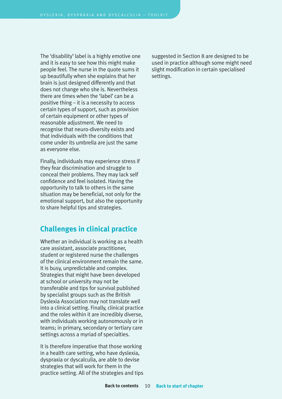<span id="page-11-0"></span>The 'disability' label is a highly emotive one and it is easy to see how this might make people feel. The nurse in the quote sums it up beautifully when she explains that her brain is just designed differently and that does not change who she is. Nevertheless there are times when the 'label' can be a positive thing – it is a necessity to access certain types of support, such as provision of certain equipment or other types of reasonable adjustment. We need to recognise that neuro-diversity exists and that individuals with the conditions that come under its umbrella are just the same as everyone else.

Finally, individuals may experience stress if they fear discrimination and struggle to conceal their problems. They may lack self confidence and feel isolated. Having the opportunity to talk to others in the same situation may be beneficial, not only for the emotional support, but also the opportunity to share helpful tips and strategies.

## **Challenges in clinical practice**

Whether an individual is working as a health care assistant, associate practitioner, student or registered nurse the challenges of the clinical environment remain the same. It is busy, unpredictable and complex. Strategies that might have been developed at school or university may not be transferable and tips for survival published by specialist groups such as the British Dyslexia Association may not translate well into a clinical setting. Finally, clinical practice and the roles within it are incredibly diverse, with individuals working autonomously or in teams; in primary, secondary or tertiary care settings across a myriad of specialties.

It is therefore imperative that those working in a health care setting, who have dyslexia, dyspraxia or dyscalculia, are able to devise strategies that will work for them in the practice setting. All of the strategies and tips suggested in Section 8 are designed to be used in practice although some might need slight modification in certain specialised settings.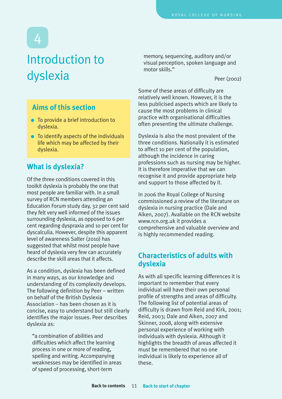## <span id="page-12-0"></span>Introduction to dyslexia

## **Aims of this section**

- To provide a brief introduction to dyslexia.
- To identify aspects of the individuals life which may be affected by their dyslexia.

## **What is dyslexia?**

Of the three conditions covered in this toolkit dyslexia is probably the one that most people are familiar with. In a small survey of RCN members attending an Education Forum study day, 32 per cent said they felt very well informed of the issues surrounding dyslexia, as opposed to 6 per cent regarding dyspraxia and 10 per cent for dyscalculia. However, despite this apparent level of awareness Salter (2010) has suggested that whilst most people have heard of dyslexia very few can accurately describe the skill areas that it affects.

As a condition, dyslexia has been defined in many ways, as our knowledge and understanding of its complexity develops. The following definition by Peer – written on behalf of the British Dyslexia Association – has been chosen as it is concise, easy to understand but still clearly identifies the major issues. Peer describes dyslexia as:

"a combination of abilities and difficulties which affect the learning process in one or more of reading, spelling and writing. Accompanying weaknesses may be identified in areas of speed of processing, short-term

memory, sequencing, auditory and/or visual perception, spoken language and motor skills."

Peer (2002)

Some of these areas of difficulty are relatively well known. However, it is the less publicised aspects which are likely to cause the most problems in clinical practice with organisational difficulties often presenting the ultimate challenge.

Dyslexia is also the most prevalent of the three conditions. Nationally it is estimated to affect 10 per cent of the population, although the incidence in caring professions such as nursing may be higher. It is therefore imperative that we can recognise it and provide appropriate help and support to those affected by it.

In 2006 the Royal College of Nursing commissioned a review of the literature on dyslexia in nursing practice (Dale and Aiken, 2007). Available on the RCN website <www.rcn.org.uk> it provides a comprehensive and valuable overview and is highly recommended reading.

## **Characteristics of adults with dyslexia**

As with all specific learning differences it is important to remember that every individual will have their own personal profile of strengths and areas of difficulty. The following list of potential areas of difficulty is drawn from Reid and Kirk, 2001; Reid, 2003; Dale and Aiken, 2007 and Skinner, 2008, along with extensive personal experience of working with individuals with dyslexia. Although it highlights the breadth of areas affected it must be remembered that no one individual is likely to experience all of these.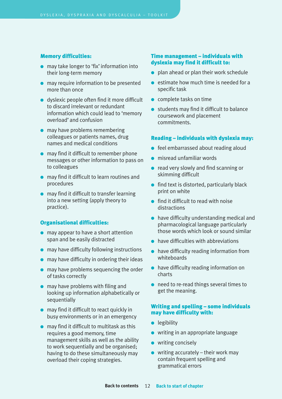#### **Memory difficulties:**

- may take longer to 'fix' information into their long-term memory
- may require information to be presented more than once
- dyslexic people often find it more difficult to discard irrelevant or redundant information which could lead to 'memory overload' and confusion
- may have problems remembering colleagues or patients names, drug names and medical conditions
- may find it difficult to remember phone messages or other information to pass on to colleagues
- may find it difficult to learn routines and procedures
- may find it difficult to transfer learning into a new setting (apply theory to practice).

#### **Organisational difficulties:**

- may appear to have a short attention span and be easily distracted
- may have difficulty following instructions
- $\bullet$  may have difficulty in ordering their ideas
- may have problems sequencing the order of tasks correctly
- $\bullet$  may have problems with filing and looking up information alphabetically or sequentially
- may find it difficult to react quickly in busy environments or in an emergency
- $\bullet$  may find it difficult to multitask as this requires a good memory, time management skills as well as the ability to work sequentially and be organised; having to do these simultaneously may overload their coping strategies.

#### **Time management – individuals with dyslexia may find it difficult to:**

- $\bullet$  plan ahead or plan their work schedule
- $\bullet$  estimate how much time is needed for a specific task
- complete tasks on time
- students may find it difficult to balance coursework and placement commitments.

#### **Reading – individuals with dyslexia may:**

- feel embarrassed about reading aloud
- misread unfamiliar words
- read very slowly and find scanning or skimming difficult
- $\bullet$  find text is distorted, particularly black print on white
- find it difficult to read with noise distractions
- have difficulty understanding medical and pharmacological language particularly those words which look or sound similar
- have difficulties with abbreviations
- have difficulty reading information from whiteboards
- have difficulty reading information on charts
- need to re-read things several times to get the meaning.

#### **Writing and spelling – some individuals may have difficulty with:**

- legibility
- writing in an appropriate language
- writing concisely
- $\bullet$  writing accurately their work may contain frequent spelling and grammatical errors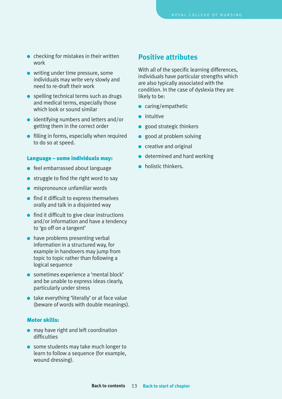- <span id="page-14-0"></span> $\bullet$  checking for mistakes in their written work
- writing under time pressure, some individuals may write very slowly and need to re-draft their work
- $\bullet$  spelling technical terms such as drugs and medical terms, especially those which look or sound similar
- identifying numbers and letters and/or getting them in the correct order
- filling in forms, especially when required to do so at speed.

#### **Language – some individuals may:**

- feel embarrassed about language
- struggle to find the right word to say
- mispronounce unfamiliar words
- find it difficult to express themselves orally and talk in a disjointed way
- find it difficult to give clear instructions and/or information and have a tendency to 'go off on a tangent'
- $\bullet$  have problems presenting verbal information in a structured way, for example in handovers may jump from topic to topic rather than following a logical sequence
- sometimes experience a 'mental block' and be unable to express ideas clearly, particularly under stress
- take everything 'literally' or at face value (beware of words with double meanings).

#### **Motor skills:**

- may have right and left coordination difficulties
- some students may take much longer to learn to follow a sequence (for example, wound dressing).

### **Positive attributes**

With all of the specific learning differences, individuals have particular strengths which are also typically associated with the condition. In the case of dyslexia they are likely to be:

- caring/empathetic
- intuitive
- good strategic thinkers
- good at problem solving
- creative and original
- $\bullet$  determined and hard working
- holistic thinkers.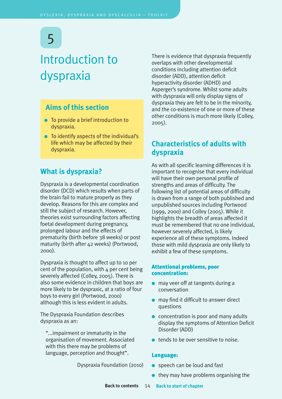## <span id="page-15-0"></span>Introduction to dyspraxia

## **Aims of this section**

- To provide a brief introduction to dyspraxia.
- To identify aspects of the individual's life which may be affected by their dyspraxia.

## **What is dyspraxia?**

Dyspraxia is a developmental coordination disorder (DCD) which results when parts of the brain fail to mature properly as they develop. Reasons for this are complex and still the subject of research. However, theories exist surrounding factors affecting foetal development during pregnancy, prolonged labour and the effects of prematurity (birth before 38 weeks) or post maturity (birth after 42 weeks) (Portwood, 2000).

Dyspraxia is thought to affect up to 10 per cent of the population, with  $4$  per cent being severely affected (Colley, 2005). There is also some evidence in children that boys are more likely to be dyspraxic, at a ratio of four boys to every girl (Portwood, 2000) although this is less evident in adults.

The Dyspraxia Foundation describes dyspraxia as an:

"...impairment or immaturity in the organisation of movement. Associated with this there may be problems of language, perception and thought".

There is evidence that dyspraxia frequently overlaps with other developmental conditions including attention deficit disorder (ADD), attention deficit hyperactivity disorder (ADHD) and Asperger's syndrome. Whilst some adults with dyspraxia will only display signs of dyspraxia they are felt to be in the minority, and the co-existence of one or more of these other conditions is much more likely (Colley, 2005).

## **Characteristics of adults with dyspraxia**

As with all specific learning differences it is important to recognise that every individual will have their own personal profile of strengths and areas of difficulty. The following list of potential areas of difficulty is drawn from a range of both published and unpublished sources including Portwood (1999, 2000) and Colley (2005). While it highlights the breadth of areas affected it must be remembered that no one individual, however severely affected, is likely experience all of these symptoms. Indeed those with mild dyspraxia are only likely to exhibit a few of these symptoms.

#### **Attentional problems, poor concentration:**

- may veer off at tangents during a conversation
- $\bullet$  may find it difficult to answer direct questions
- concentration is poor and many adults display the symptoms of Attention Deficit Disorder (ADD)
- tends to be over sensitive to noise.

#### **Language:**

- Dyspraxia Foundation (2010)
- $\bullet$  speech can be loud and fast
	- $\bullet$  they may have problems organising the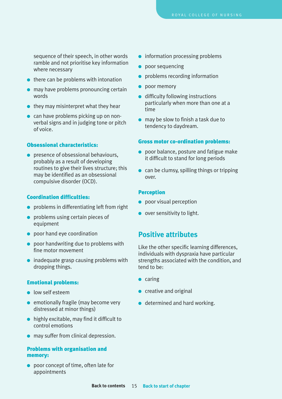<span id="page-16-0"></span>sequence of their speech, in other words ramble and not prioritise key information where necessary

- $\bullet$  there can be problems with intonation
- may have problems pronouncing certain words
- $\bullet$  they may misinterpret what they hear
- can have problems picking up on nonverbal signs and in judging tone or pitch of voice.

#### **Obsessional characteristics:**

● presence of obsessional behaviours, probably as a result of developing routines to give their lives structure; this may be identified as an obsessional compulsive disorder (OCD).

#### **Coordination difficulties:**

- problems in differentiating left from right
- problems using certain pieces of equipment
- poor hand eye coordination
- poor handwriting due to problems with fine motor movement
- inadequate grasp causing problems with dropping things.

#### **Emotional problems:**

- low self esteem
- emotionally fragile (may become very distressed at minor things)
- highly excitable, may find it difficult to control emotions
- may suffer from clinical depression.

#### **Problems with organisation and memory:**

● poor concept of time, often late for appointments

- information processing problems
- poor sequencing
- problems recording information
- poor memory
- difficulty following instructions particularly when more than one at a time
- may be slow to finish a task due to tendency to daydream.

#### **Gross motor co-ordination problems:**

- poor balance, posture and fatigue make it difficult to stand for long periods
- $\bullet$  can be clumsy, spilling things or tripping over.

#### **Perception**

- poor visual perception
- over sensitivity to light.

### **Positive attributes**

Like the other specific learning differences, individuals with dyspraxia have particular strengths associated with the condition, and tend to be:

- caring
- creative and original
- determined and hard working.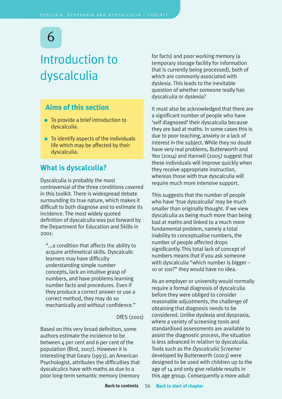## <span id="page-17-0"></span>Introduction to dyscalculia

## **Aims of this section**

- To provide a brief introduction to dyscalculia.
- To identify aspects of the individuals life which may be affected by their dyscalculia.

## **What is dyscalculia?**

Dyscalculia is probably the most controversial of the three conditions covered in this toolkit. There is widespread debate surrounding its true nature, which makes it difficult to both diagnose and to estimate its incidence. The most widely quoted definition of dyscalculia was put forward by the Department for Education and Skills in  $2001$ 

"...a condition that affects the ability to acquire arithmetical skills. Dyscalculic learners may have difficulty understanding simple number concepts, lack an intuitive grasp of numbers, and have problems learning number facts and procedures. Even if they produce a correct answer or use a correct method, they may do so mechanically and without confidence."

DfES (2001)

Based on this very broad definition, some authors estimate the incidence to be between  $4$  per cent and 6 per cent of the population (Bird, 2007). However it is interesting that Geary (1993), an American Psychologist, attributes the difficulties that dyscalculics have with maths as due to a poor long-term semantic memory (memory

for facts) and poor working memory (a temporary storage facility for information that is currently being processed), both of which are commonly associated with dyslexia. This leads to the inevitable question of whether someone really has dyscalculia or dyslexia?

It must also be acknowledged that there are a significant number of people who have 'self diagnosed' their dyscalculia because they are bad at maths. In some cases this is due to poor teaching, anxiety or a lack of interest in the subject. While they no doubt have very real problems, Butterworth and Yeo (2004) and Hannell (2005) suggest that these individuals will improve quickly when they receive appropriate instruction, whereas those with true dyscalculia will require much more intensive support.

This suggests that the number of people who have 'true dyscalculia' may be much smaller than originally thought. If we view dyscalculia as being much more than being bad at maths and linked to a much more fundamental problem, namely a total inability to conceptualise numbers, the number of people affected drops significantly. This total lack of concept of numbers means that if you ask someone with dyscalculia "which number is bigger – 10 or 100?" they would have no idea.

As an employer or university would normally require a formal diagnosis of dyscalculia before they were obliged to consider reasonable adjustments, the challenge of obtaining that diagnosis needs to be considered. Unlike dyslexia and dyspraxia, where a variety of screening tools and standardised assessments are available to assist the diagnostic process, the situation is less advanced in relation to dyscalculia. Tools such as the *Dyscalculia Screener* developed by Butterworth (2003) were designed to be used with children up to the age of 14 and only give reliable results in this age group. Consequently a more adult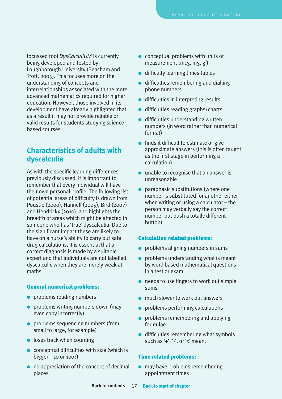<span id="page-18-0"></span>focussed tool *DysCalculiUM* is currently being developed and tested by Loughborough University (Beacham and Trott, 2005). This focuses more on the understanding of concepts and interrelationships associated with the more advanced mathematics required for higher education. However, those involved in its development have already highlighted that as a result it may not provide reliable or valid results for students studying science based courses.

## **Characteristics of adults with dyscalculia**

As with the specific learning differences previously discussed, it is important to remember that every individual will have their own personal profile. The following list of potential areas of difficulty is drawn from Poustie (2000), Hannell (2005), Bird (2007) and Hendrickx (2010), and highlights the breadth of areas which might be affected in someone who has 'true' dyscalculia. Due to the significant impact these are likely to have on a nurse's ability to carry out safe drug calculations, it is essential that a correct diagnosis is made by a suitable expert and that individuals are not labelled dyscalculic when they are merely weak at maths.

#### **General numerical problems:**

- problems reading numbers
- problems writing numbers down (may even copy incorrectly)
- problems sequencing numbers (from small to large, for example)
- $\bullet$  loses track when counting
- $\bullet$  conceptual difficulties with size (which is bigger – 10 or 100?)
- no appreciation of the concept of decimal places
- conceptual problems with units of measurement (mcg, mg, g )
- difficulty learning times tables
- difficulties remembering and dialling phone numbers
- difficulties in interpreting results
- difficulties reading graphs/charts
- difficulties understanding written numbers (in word rather than numerical format)
- finds it difficult to estimate or give approximate answers (this is often taught as the first stage in performing a calculation)
- $\bullet$  unable to recognise that an answer is unreasonable
- paraphasic substitutions (where one number is substituted for another either when writing or using a calculator – the person may verbally say the correct number but push a totally different button).

#### **Calculation related problems:**

- problems aligning numbers in sums
- problems understanding what is meant by word based mathematical questions in a test or exam
- needs to use fingers to work out simple sums
- much slower to work out answers
- problems performing calculations
- problems remembering and applying formulae
- difficulties remembering what symbols such as  $'$ +',  $'$ -', or 'x' mean.

#### **Time related problems:**

● may have problems remembering appointment times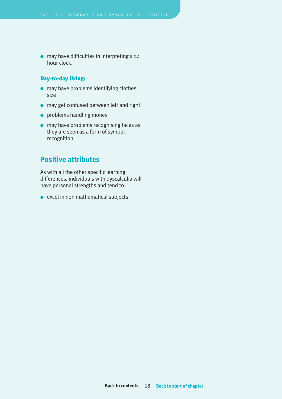<span id="page-19-0"></span>● may have difficulties in interpreting a 24 hour clock.

#### **Day-to-day living:**

- may have problems identifying clothes size
- may get confused between left and right
- problems handling money
- may have problems recognising faces as they are seen as a form of symbol recognition.

## **Positive attributes**

As with all the other specific learning differences, individuals with dyscalculia will have personal strengths and tend to:

● excel in non mathematical subjects.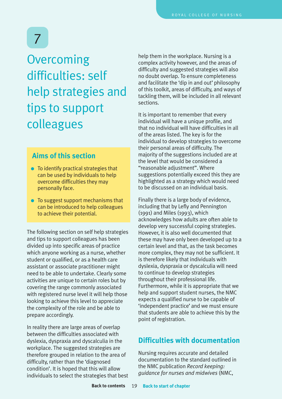## <span id="page-20-0"></span>**Overcoming** difficulties: self help strategies and tips to support colleagues

## **Aims of this section**

- To identify practical strategies that can be used by individuals to help overcome difficulties they may personally face.
- To suggest support mechanisms that can be introduced to help colleagues to achieve their potential.

The following section on self help strategies and tips to support colleagues has been divided up into specific areas of practice which anyone working as a nurse, whether student or qualified, or as a health care assistant or associate practitioner might need to be able to undertake. Clearly some activities are unique to certain roles but by covering the range commonly associated with registered nurse level it will help those looking to achieve this level to appreciate the complexity of the role and be able to prepare accordingly.

In reality there are large areas of overlap between the difficulties associated with dyslexia, dyspraxia and dyscalculia in the workplace. The suggested strategies are therefore grouped in relation to the area of difficulty, rather than the 'diagnosed condition'. It is hoped that this will allow individuals to select the strategies that best help them in the workplace. Nursing is a complex activity however, and the areas of difficulty and suggested strategies will also no doubt overlap. To ensure completeness and facilitate the 'dip in and out' philosophy of this toolkit, areas of difficulty, and ways of tackling them, will be included in all relevant sections.

It is important to remember that every individual will have a unique profile, and that no individual will have difficulties in all of the areas listed. The key is for the individual to develop strategies to overcome their personal areas of difficulty. The majority of the suggestions included are at the level that would be considered a "reasonable adjustment". Where suggestions potentially exceed this they are highlighted as a strategy which would need to be discussed on an individual basis.

Finally there is a large body of evidence, including that by Lefly and Pennington (1991) and Miles (1993), which acknowledges how adults are often able to develop very successful coping strategies. However, it is also well documented that these may have only been developed up to a certain level and that, as the task becomes more complex, they may not be sufficient. It is therefore likely that individuals with dyslexia, dyspraxia or dyscalculia will need to continue to develop strategies throughout their professional life. Furthermore, while it is appropriate that we help and support student nurses, the NMC expects a qualified nurse to be capable of 'independent practice' and we must ensure that students are able to achieve this by the point of registration.

## **Difficulties with documentation**

Nursing requires accurate and detailed documentation to the standard outlined in the NMC publication *Record keeping: guidance for nurses and midwives* (NMC,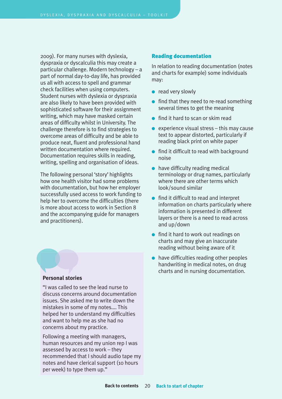<span id="page-21-0"></span>2009). For many nurses with dyslexia, dyspraxia or dyscalculia this may create a particular challenge. Modern technology – a part of normal day-to-day life, has provided us all with access to spell and grammar check facilities when using computers. Student nurses with dyslexia or dyspraxia are also likely to have been provided with sophisticated software for their assignment writing, which may have masked certain areas of difficulty whilst in University. The challenge therefore is to find strategies to overcome areas of difficulty and be able to produce neat, fluent and professional hand written documentation where required. Documentation requires skills in reading, writing, spelling and organisation of ideas.

The following personal 'story' highlights how one health visitor had some problems with documentation, but how her employer successfully used access to work funding to help her to overcome the difficulties (there is more about access to work in Section 8 and the accompanying guide for managers and practitioners).

#### **Personal stories**

"I was called to see the lead nurse to discuss concerns around documentation issues. She asked me to write down the mistakes in some of my notes…. This helped her to understand my difficulties and want to help me as she had no concerns about my practice.

Following a meeting with managers, human resources and my union rep I was assessed by access to work – they recommended that I should audio tape my notes and have clerical support (10 hours per week) to type them up."

#### **Reading documentation**

In relation to reading documentation (notes and charts for example) some individuals may:

- read very slowly
- find that they need to re-read something several times to get the meaning
- find it hard to scan or skim read
- $\bullet$  experience visual stress this may cause text to appear distorted, particularly if reading black print on white paper
- find it difficult to read with background noise
- $\bullet$  have difficulty reading medical terminology or drug names, particularly where there are other terms which look/sound similar
- find it difficult to read and interpret information on charts particularly where information is presented in different layers or there is a need to read across and up/down
- find it hard to work out readings on charts and may give an inaccurate reading without being aware of it
- have difficulties reading other peoples handwriting in medical notes, on drug charts and in nursing documentation.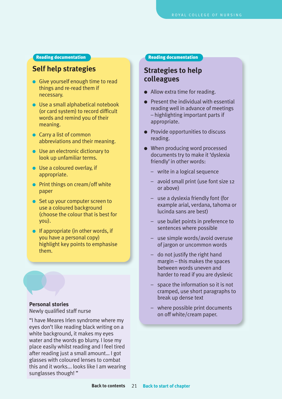#### **Reading documentation**

## **Self help strategies**

- Give yourself enough time to read things and re-read them if necessary.
- Use a small alphabetical notebook (or card system) to record difficult words and remind you of their meaning.
- Carry a list of common abbreviations and their meaning.
- Use an electronic dictionary to look up unfamiliar terms.
- Use a coloured overlay, if appropriate.
- Print things on cream/off white paper
- Set up your computer screen to use a coloured background (choose the colour that is best for you).
- $\bullet$  If appropriate (in other words, if you have a personal copy) highlight key points to emphasise them.

### **Personal stories**

Newly qualified staff nurse

"I have Meares Irlen syndrome where my eyes don't like reading black writing on a white background, it makes my eyes water and the words go blurry. I lose my place easily whilst reading and I feel tired after reading just a small amount… I got glasses with coloured lenses to combat this and it works... looks like I am wearing sunglasses though! "

#### **Reading documentation**

## **Strategies to help colleagues**

- Allow extra time for reading.
- Present the individual with essential reading well in advance of meetings – highlighting important parts if appropriate.
- Provide opportunities to discuss reading.
- When producing word processed documents try to make it 'dyslexia friendly' in other words:
	- write in a logical sequence
	- avoid small print (use font size 12 or above)
	- use a dyslexia friendly font (for example arial, verdana, tahoma or lucinda sans are best)
	- use bullet points in preference to sentences where possible
	- use simple words/avoid overuse of jargon or uncommon words
	- do not justify the right hand margin – this makes the spaces between words uneven and harder to read if you are dyslexic
	- space the information so it is not cramped, use short paragraphs to break up dense text
	- where possible print documents on off white/cream paper.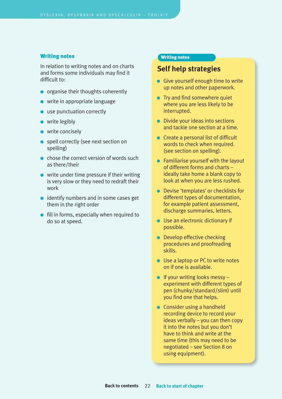#### <span id="page-23-0"></span>**Writing notes**

In relation to writing notes and on charts and forms some individuals may find it difficult to:

- organise their thoughts coherently
- owrite in appropriate language
- **D** use punctuation correctly
- write legibly
- write concisely
- spell correctly (see next section on spelling)
- chose the correct version of words such as there/their
- write under time pressure if their writing is very slow or they need to redraft their work
- identify numbers and in some cases get them in the right order
- fill in forms, especially when required to do so at speed.

#### **Writing notes**

## **Self help strategies**

- Give yourself enough time to write up notes and other paperwork.
- Try and find somewhere quiet where you are less likely to be interrupted.
- Divide your ideas into sections and tackle one section at a time.
- Create a personal list of difficult words to check when required. (see section on spelling).
- Familiarise yourself with the layout of different forms and charts – ideally take home a blank copy to look at when you are less rushed.
- Devise 'templates' or checklists for different types of documentation, for example patient assessment, discharge summaries, letters.
- Use an electronic dictionary if possible.
- Develop effective checking procedures and proofreading skills.
- Use a laptop or PC to write notes on if one is available.
- $\bullet$  If your writing looks messy experiment with different types of pen (chunky/standard/slim) until you find one that helps.
- Consider using a handheld recording device to record your ideas verbally – you can then copy it into the notes but you don't have to think and write at the same time (this may need to be negotiated – see Section 8 on using equipment).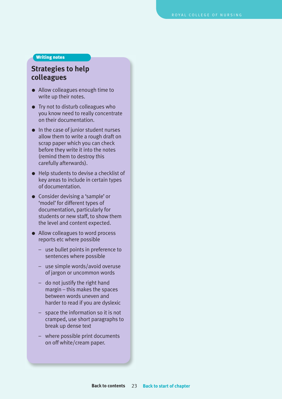#### **Writing notes**

## **Strategies to help colleagues**

- Allow colleagues enough time to write up their notes.
- Try not to disturb colleagues who you know need to really concentrate on their documentation.
- In the case of junior student nurses allow them to write a rough draft on scrap paper which you can check before they write it into the notes (remind them to destroy this carefully afterwards).
- Help students to devise a checklist of key areas to include in certain types of documentation.
- Consider devising a 'sample' or 'model' for different types of documentation, particularly for students or new staff, to show them the level and content expected.
- Allow colleagues to word process reports etc where possible
	- use bullet points in preference to sentences where possible
	- use simple words/avoid overuse of jargon or uncommon words
	- do not justify the right hand margin – this makes the spaces between words uneven and harder to read if you are dyslexic
	- space the information so it is not cramped, use short paragraphs to break up dense text
	- where possible print documents on off white/cream paper.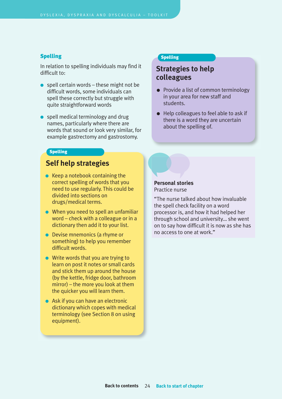#### <span id="page-25-0"></span>**Spelling**

In relation to spelling individuals may find it difficult to:

- $\bullet$  spell certain words these might not be difficult words, some individuals can spell these correctly but struggle with quite straightforward words
- spell medical terminology and drug names, particularly where there are words that sound or look very similar, for example gastrectomy and gastrostomy.

#### **Spelling**

## **Self help strategies**

- $\bullet$  Keep a notebook containing the correct spelling of words that you need to use regularly. This could be divided into sections on drugs/medical terms.
- When you need to spell an unfamiliar word – check with a colleague or in a dictionary then add it to your list.
- Devise mnemonics (a rhyme or something) to help you remember difficult words.
- Write words that you are trying to learn on post it notes or small cards and stick them up around the house (by the kettle, fridge door, bathroom mirror) – the more you look at them the quicker you will learn them.
- Ask if you can have an electronic dictionary which copes with medical terminology (see Section 8 on using equipment).

#### **Spelling**

## **Strategies to help colleagues**

- Provide a list of common terminology in your area for new staff and students.
- Help colleagues to feel able to ask if there is a word they are uncertain about the spelling of.



"The nurse talked about how invaluable the spell check facility on a word processor is, and how it had helped her through school and university… she went on to say how difficult it is now as she has no access to one at work."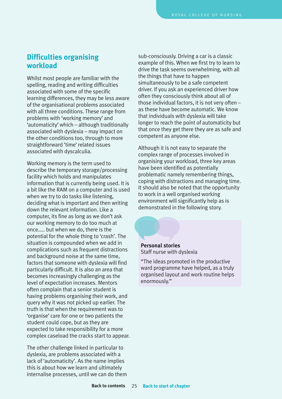## <span id="page-26-0"></span>**Difficulties organising workload**

Whilst most people are familiar with the spelling, reading and writing difficulties associated with some of the specific learning differences, they may be less aware of the organisational problems associated with all three conditions. These range from problems with 'working memory' and 'automaticity'which – although traditionally associated with dyslexia – may impact on the other conditions too, through to more straightforward 'time'related issues associated with dyscalculia.

Working memory is the term used to describe the temporary storage/processing facility which holds and manipulates information that is currently being used. It is a bit like the RAM on a computer and is used when we try to do tasks like listening. deciding what is important and then writing down the relevant information. Like a computer, its fine as long as we don't ask our working memory to do too much at once….. but when we do, there is the potential for the whole thing to 'crash'. The situation is compounded when we add in complications such as frequent distractions and background noise at the same time, factors that someone with dyslexia will find particularly difficult. It is also an area that becomes increasingly challenging as the level of expectation increases. Mentors often complain that a senior student is having problems organising their work, and query why it was not picked up earlier. The truth is that when the requirement was to 'organise' care for one or two patients the student could cope, but as they are expected to take responsibility for a more complex caseload the cracks start to appear.

The other challenge linked in particular to dyslexia, are problems associated with a lack of 'automaticity'. As the name implies this is about how we learn and ultimately internalise processes, until we can do them sub-consciously. Driving a car is a classic example of this. When we first try to learn to drive the task seems overwhelming, with all the things that have to happen simultaneously to be a safe competent driver. If you ask an experienced driver how often they consciously think about all of those individual factors, it is not very often – as these have become automatic. We know that individuals with dyslexia will take longer to reach the point of automaticity but that once they get there they are as safe and competent as anyone else.

Although it is not easy to separate the complex range of processes involved in organising your workload, three key areas have been identified as potentially problematic namely remembering things, coping with distractions and managing time. It should also be noted that the opportunity to work in a well organised working environment will significantly help as is demonstrated in the following story.

**Personal stories** Staff nurse with dyslexia

"The ideas promoted in the productive ward programme have helped, as a truly organised layout and work routine helps enormously."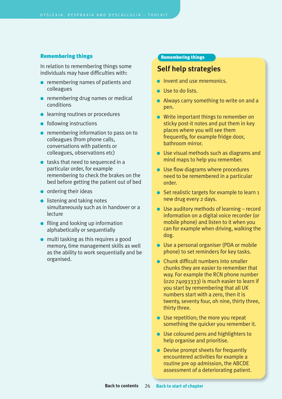#### <span id="page-27-0"></span>**Remembering things**

In relation to remembering things some individuals may have difficulties with:

- remembering names of patients and colleagues
- remembering drug names or medical conditions
- learning routines or procedures
- following instructions
- remembering information to pass on to colleagues (from phone calls, conversations with patients or colleagues, observations etc)
- tasks that need to sequenced in a particular order, for example remembering to check the brakes on the bed before getting the patient out of bed
- ordering their ideas
- $\bullet$  listening and taking notes simultaneously such as in handover or a lecture
- **•** filing and looking up information alphabetically or sequentially
- multi tasking as this requires a good memory, time management skills as well as the ability to work sequentially and be organised.

#### **Remembering things**

## **Self help strategies**

- **•** Invent and use mnemonics.
- Use to do lists.
- Always carry something to write on and a pen.
- Write important things to remember on sticky post-it notes and put them in key places where you will see them frequently, for example fridge door, bathroom mirror.
- Use visual methods such as diagrams and mind maps to help you remember.
- Use flow diagrams where procedures need to be remembered in a particular order.
- Set realistic targets for example to learn 1 new drug every 2 days.
- $\bullet$  Use auditory methods of learning record information on a digital voice recorder (or mobile phone) and listen to it when you can for example when driving, walking the dog.
- Use a personal organiser (PDA or mobile phone) to set reminders for key tasks.
- Chunk difficult numbers into smaller chunks they are easier to remember that way. For example the RCN phone number  $(0207409333)$  is much easier to learn if you start by remembering that all UK numbers start with a zero, then it is twenty, seventy four, oh nine, thirty three, thirty three.
- Use repetition; the more you repeat something the quicker you remember it.
- Use coloured pens and highlighters to help organise and prioritise.
- Devise prompt sheets for frequently encountered activities for example a routine pre op admission, the ABCDE assessment of a deteriorating patient.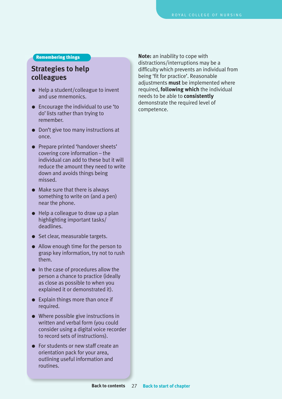#### **Remembering things**

## **Strategies to help colleagues**

- $\bullet$  Help a student/colleague to invent and use mnemonics.
- Encourage the individual to use 'to do' lists rather than trying to remember.
- Don't give too many instructions at once.
- Prepare printed 'handover sheets' covering core information – the individual can add to these but it will reduce the amount they need to write down and avoids things being missed.
- Make sure that there is always something to write on (and a pen) near the phone.
- $\bullet$  Help a colleague to draw up a plan highlighting important tasks/ deadlines.
- Set clear, measurable targets.
- Allow enough time for the person to grasp key information, try not to rush them.
- In the case of procedures allow the person a chance to practice (ideally as close as possible to when you explained it or demonstrated it).
- Explain things more than once if required.
- Where possible give instructions in written and verbal form (you could consider using a digital voice recorder to record sets of instructions).
- For students or new staff create an orientation pack for your area, outlining useful information and routines.

**Note:** an inability to cope with distractions/interruptions may be a difficulty which prevents an individual from being 'fit for practice'. Reasonable adjustments **must** be implemented where required, **following which** the individual needs to be able to **consistently** demonstrate the required level of competence.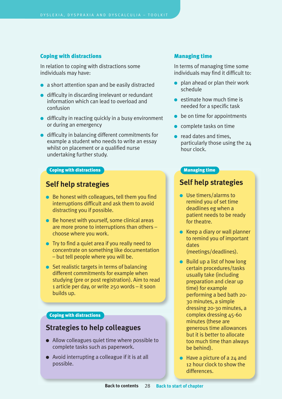#### <span id="page-29-0"></span>**Coping with distractions**

In relation to coping with distractions some individuals may have:

- a short attention span and be easily distracted
- difficulty in discarding irrelevant or redundant information which can lead to overload and confusion
- difficulty in reacting quickly in a busy environment or during an emergency
- difficulty in balancing different commitments for example a student who needs to write an essay whilst on placement or a qualified nurse undertaking further study.

#### **Coping with distractions**

## **Self help strategies**

- Be honest with colleagues, tell them you find interruptions difficult and ask them to avoid distracting you if possible.
- Be honest with yourself, some clinical areas are more prone to interruptions than others – choose where you work.
- Try to find a quiet area if you really need to concentrate on something like documentation – but tell people where you will be.
- Set realistic targets in terms of balancing different commitments for example when studying (pre or post registration). Aim to read 1 article per day, or write 250 words – it soon builds up.

#### **Coping with distractions**

### **Strategies to help colleagues**

- Allow colleagues quiet time where possible to complete tasks such as paperwork.
- Avoid interrupting a colleague if it is at all possible.

#### **Managing time**

In terms of managing time some individuals may find it difficult to:

- $\bullet$  plan ahead or plan their work schedule
- $\bullet$  estimate how much time is needed for a specific task
- $\bullet$  be on time for appointments
- $\bullet$  complete tasks on time
- read dates and times, particularly those using the 24 hour clock.

#### **Managing time**

### **Self help strategies**

- Use timers/alarms to remind you of set time deadlines eg when a patient needs to be ready for theatre.
- $\bullet$  Keep a diary or wall planner to remind you of important dates (meetings/deadlines).
- $\bullet$  Build up a list of how long certain procedures/tasks usually take (including preparation and clear up time) for example performing a bed bath 20- 30 minutes, a simple dressing 20-30 minutes, a complex dressing 45-60 minutes (these are generous time allowances but it is better to allocate too much time than always be behind).
- $\bullet$  Have a picture of a 24 and 12 hour clock to show the differences.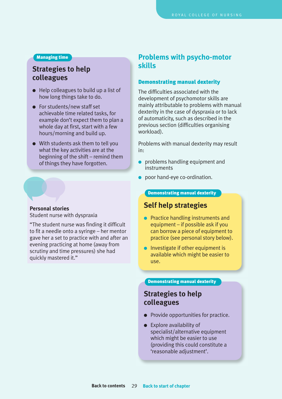#### <span id="page-30-0"></span>**Managing time**

## **Strategies to help colleagues**

- $\bullet$  Help colleagues to build up a list of how long things take to do.
- For students/new staff set achievable time related tasks, for example don't expect them to plan a whole day at first, start with a few hours/morning and build up.
- With students ask them to tell you what the key activities are at the beginning of the shift – remind them of things they have forgotten.

#### **Personal stories**

Student nurse with dyspraxia

"The student nurse was finding it difficult to fit a needle onto a syringe – her mentor gave her a set to practice with and after an evening practicing at home (away from scrutiny and time pressures) she had quickly mastered it."

## **Problems with psycho-motor skills**

#### **Demonstrating manual dexterity**

The difficulties associated with the development of psychomotor skills are mainly attributable to problems with manual dexterity in the case of dyspraxia or to lack of automaticity, such as described in the previous section (difficulties organising workload).

Problems with manual dexterity may result in:

- problems handling equipment and instruments
- poor hand-eye co-ordination.

#### **Demonstrating manual dexterity**

## **Self help strategies**

- Practice handling instruments and equipment – if possible ask if you can borrow a piece of equipment to practice (see personal story below).
- Investigate if other equipment is available which might be easier to use.

#### **Demonstrating manual dexterity**

## **Strategies to help colleagues**

- Provide opportunities for practice.
- Explore availability of specialist/alternative equipment which might be easier to use (providing this could constitute a 'reasonable adjustment'.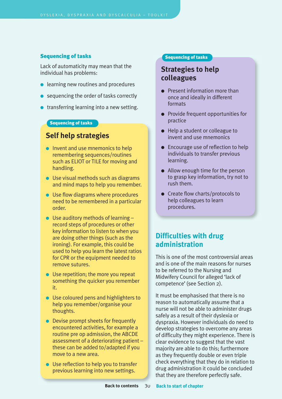#### <span id="page-31-0"></span>**Sequencing of tasks**

Lack of automaticity may mean that the individual has problems:

- learning new routines and procedures
- sequencing the order of tasks correctly
- transferring learning into a new setting.

### **Sequencing of tasks**

## **Self help strategies**

- Invent and use mnemonics to help remembering sequences/routines such as ELIOT or TILE for moving and handling.
- Use visual methods such as diagrams and mind maps to help you remember.
- Use flow diagrams where procedures need to be remembered in a particular order.
- $\bullet$  Use auditory methods of learning  $$ record steps of procedures or other key information to listen to when you are doing other things (such as the ironing). For example, this could be used to help you learn the latest ratios for CPR or the equipment needed to remove sutures.
- Use repetition; the more you repeat something the quicker you remember it.
- Use coloured pens and highlighters to help you remember/organise your thoughts.
- Devise prompt sheets for frequently encountered activities, for example a routine pre op admission, the ABCDE assessment of a deteriorating patient – these can be added to/adapted if you move to a new area.
- Use reflection to help you to transfer previous learning into new settings.

#### **Sequencing of tasks**

## **Strategies to help colleagues**

- Present information more than once and ideally in different formats
- Provide frequent opportunities for practice
- Help a student or colleague to invent and use mnemonics
- Encourage use of reflection to help individuals to transfer previous learning.
- Allow enough time for the person to grasp key information, try not to rush them.
- Create flow charts/protocols to help colleagues to learn procedures.

## **Difficulties with drug administration**

This is one of the most controversial areas and is one of the main reasons for nurses to be referred to the Nursing and Midwifery Council for alleged 'lack of competence' (see Section 2).

It must be emphasised that there is no reason to automatically assume that a nurse will not be able to administer drugs safely as a result of their dyslexia or dyspraxia. However individuals do need to develop strategies to overcome any areas of difficulty they might experience. There is clear evidence to suggest that the vast majority are able to do this; furthermore as they frequently double or even triple check everything that they do in relation to drug administration it could be concluded that they are therefore perfectly safe.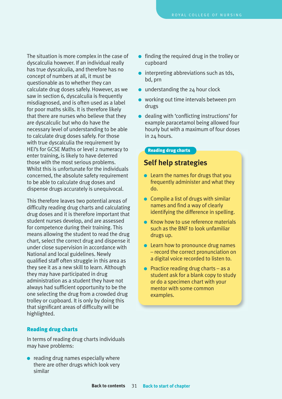<span id="page-32-0"></span>The situation is more complex in the case of dyscalculia however. If an individual really has true dyscalculia, and therefore has no concept of numbers at all, it must be questionable as to whether they can calculate drug doses safely. However, as we saw in section 6, dyscalculia is frequently misdiagnosed, and is often used as a label for poor maths skills. It is therefore likely that there are nurses who believe that they are dyscalculic but who do have the necessary level of understanding to be able to calculate drug doses safely. For those with true dyscalculia the requirement by HEI's for GCSE Maths or level 2 numeracy to enter training, is likely to have deterred those with the most serious problems. Whilst this is unfortunate for the individuals concerned, the absolute safety requirement to be able to calculate drug doses and dispense drugs accurately is unequivocal.

This therefore leaves two potential areas of difficulty reading drug charts and calculating drug doses and it is therefore important that student nurses develop, and are assessed for competence during their training. This means allowing the student to read the drug chart, select the correct drug and dispense it under close supervision in accordance with National and local guidelines. Newly qualified staff often struggle in this area as they see it as a new skill to learn. Although they may have participated in drug administration as a student they have not always had sufficient opportunity to be the one selecting the drug from a crowded drug trolley or cupboard. It is only by doing this that significant areas of difficulty will be highlighted.

### **Reading drug charts**

In terms of reading drug charts individuals may have problems:

 $\bullet$  reading drug names especially where there are other drugs which look very similar

- finding the required drug in the trolley or cupboard
- interpreting abbreviations such as tds, bd, prn
- understanding the 24 hour clock
- working out time intervals between prn drugs
- dealing with 'conflicting instructions' for example paracetamol being allowed four hourly but with a maximum of four doses in 24 hours.

#### **Reading drug charts**

### **Self help strategies**

- Learn the names for drugs that you frequently administer and what they do.
- $\bullet$  Compile a list of drugs with similar names and find a way of clearly identifying the difference in spelling.
- **Know how to use reference materials** such as the BNF to look unfamiliar drugs up.
- Learn how to pronounce drug names – record the correct pronunciation on a digital voice recorded to listen to.
- $\bullet$  Practice reading drug charts as a student ask for a blank copy to study or do a specimen chart with your mentor with some common examples.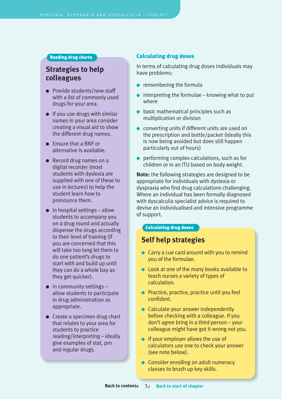#### <span id="page-33-0"></span>**Reading drug charts**

## **Strategies to help colleagues**

- Provide students/new staff with a list of commonly used drugs for your area.
- $\bullet$  If you use drugs with similar names in your area consider creating a visual aid to show the different drug names.
- Ensure that a BNF or alternative is available.
- Record drug names on a digital recorder (most students with dyslexia are supplied with one of these to use in lectures) to help the student learn how to pronounce them.
- $\bullet$  In hospital settings allow students to accompany you on a drug round and actually dispense the drugs according to their level of training (if you are concerned that this will take too long let them to do one patient's drugs to start with and build up until they can do a whole bay as they get quicker).
- $\bullet$  In community settings allow students to participate in drug administration as appropriate.
- Create a specimen drug chart that relates to your area for students to practice reading/interpreting – ideally give examples of stat, prn and regular drugs.

#### **Calculating drug doses**

In terms of calculating drug doses individuals may have problems:

- $\bullet$  remembering the formula
- $\bullet$  interpreting the formulae knowing what to put where
- $\bullet$  basic mathematical principles such as multiplication or division
- converting units if different units are used on the prescription and bottle/packet (ideally this is now being avoided but does still happen particularly out of hours)
- $\bullet$  performing complex calculations, such as for children or in an ITU based on body weight.

**Note:** the following strategies are designed to be appropriate for individuals with dyslexia or dyspraxia who find drug calculations challenging. Where an individual has been formally diagnosed with dyscalculia specialist advice is required to devise an individualised and intensive programme of support.

#### **Calculating drug doses**

## **Self help strategies**

- Carry a cue card around with you to remind you of the formulae.
- Look at one of the many books available to teach nurses a variety of types of calculation.
- Practice, practice, practice until you feel confident.
- Calculate your answer independently before checking with a colleague. If you don't agree bring in a third person – your colleague might have got it wrong not you.
- If your employer allows the use of calculators use one to check your answer (see note below).
- Consider enrolling on adult numeracy classes to brush up key skills.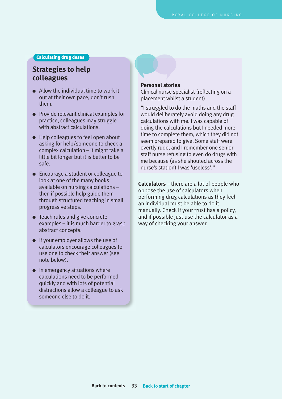**Calculating drug doses**

## **Strategies to help colleagues**

- Allow the individual time to work it out at their own pace, don't rush them.
- Provide relevant clinical examples for practice, colleagues may struggle with abstract calculations.
- Help colleagues to feel open about asking for help/someone to check a complex calculation – it might take a little bit longer but it is better to be safe.
- Encourage a student or colleague to look at one of the many books available on nursing calculations – then if possible help guide them through structured teaching in small progressive steps.
- Teach rules and give concrete examples – it is much harder to grasp abstract concepts.
- If your employer allows the use of calculators encourage colleagues to use one to check their answer (see note below).
- In emergency situations where calculations need to be performed quickly and with lots of potential distractions allow a colleague to ask someone else to do it.

#### **Personal stories**

Clinical nurse specialist (reflecting on a placement whilst a student)

"I struggled to do the maths and the staff would deliberately avoid doing any drug calculations with me. I was capable of doing the calculations but I needed more time to complete them, which they did not seem prepared to give. Some staff were overtly rude, and I remember one senior staff nurse refusing to even do drugs with me because (as she shouted across the nurse's station) I was 'useless'."

**Calculators** – there are a lot of people who oppose the use of calculators when performing drug calculations as they feel an individual must be able to do it manually. Check if your trust has a policy, and if possible just use the calculator as a way of checking your answer.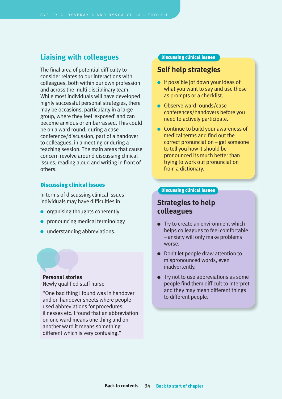## <span id="page-35-0"></span>**Liaising with colleagues**

The final area of potential difficulty to consider relates to our interactions with colleagues, both within our own profession and across the multi disciplinary team. While most individuals will have developed highly successful personal strategies, there may be occasions, particularly in a large group, where they feel 'exposed' and can become anxious or embarrassed. This could be on a ward round, during a case conference/discussion, part of a handover to colleagues, in a meeting or during a teaching session. The main areas that cause concern revolve around discussing clinical issues, reading aloud and writing in front of others.

#### **Discussing clinical issues**

In terms of discussing clinical issues individuals may have difficulties in:

- organising thoughts coherently
- pronouncing medical terminology
- understanding abbreviations.

**Personal stories** Newly qualified staff nurse

"One bad thing I found was in handover and on handover sheets where people used abbreviations for procedures, illnesses etc. I found that an abbreviation on one ward means one thing and on another ward it means something different which is very confusing."

#### **Discussing clinical issues**

### **Self help strategies**

- If possible jot down your ideas of what you want to say and use these as prompts or a checklist.
- Observe ward rounds/case conferences/handovers before you need to actively participate.
- Continue to build your awareness of medical terms and find out the correct pronunciation – get someone to tell you how it should be pronounced its much better than trying to work out pronunciation from a dictionary.

#### **Discussing clinical issues**

## **Strategies to help colleagues**

- Try to create an environment which helps colleagues to feel comfortable – anxiety will only make problems worse.
- Don't let people draw attention to mispronounced words, even inadvertently.
- Try not to use abbreviations as some people find them difficult to interpret and they may mean different things to different people.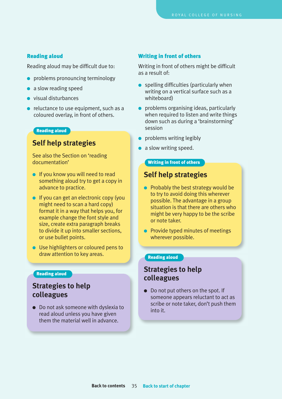#### <span id="page-36-0"></span>**Reading aloud**

Reading aloud may be difficult due to:

- problems pronouncing terminology
- a slow reading speed
- visual disturbances
- reluctance to use equipment, such as a coloured overlay, in front of others.

#### **Reading aloud**

## **Self help strategies**

See also the Section on 'reading documentation'

- If you know you will need to read something aloud try to get a copy in advance to practice.
- If you can get an electronic copy (you might need to scan a hard copy) format it in a way that helps you, for example change the font style and size, create extra paragraph breaks to divide it up into smaller sections, or use bullet points.
- Use highlighters or coloured pens to draw attention to key areas.

## **Strategies to help colleagues**

● Do not ask someone with dyslexia to read aloud unless you have given them the material well in advance.

#### **Writing in front of others**

Writing in front of others might be difficult as a result of:

- spelling difficulties (particularly when writing on a vertical surface such as a whiteboard)
- problems organising ideas, particularly when required to listen and write things down such as during a 'brainstorming' session
- problems writing legibly
- a slow writing speed.

#### **Writing in front of others**

## **Self help strategies**

- Probably the best strategy would be to try to avoid doing this wherever possible. The advantage in a group situation is that there are others who might be very happy to be the scribe or note taker.
- Provide typed minutes of meetings wherever possible.

### **Reading aloud**

## **Reading aloud**<br>**Reading aloud**<br>**Reading aloud colleagues**

● Do not put others on the spot. If someone appears reluctant to act as scribe or note taker, don't push them into it.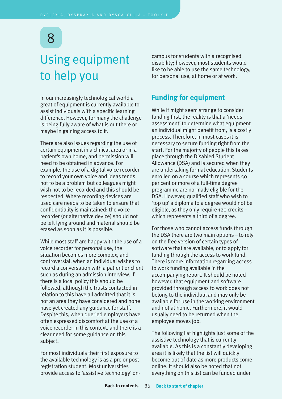## <span id="page-37-0"></span>Using equipment to help you

In our increasingly technological world a great of equipment is currently available to assist individuals with a specific learning difference. However, for many the challenge is being fully aware of what is out there or maybe in gaining access to it.

There are also issues regarding the use of certain equipment in a clinical area or in a patient's own home, and permission will need to be obtained in advance. For example, the use of a digital voice recorder to record your own voice and ideas tends not to be a problem but colleagues might wish not to be recorded and this should be respected. Where recording devices are used care needs to be taken to ensure that confidentiality is maintained; the voice recorder (or alternative device) should not be left lying around and material should be erased as soon as it is possible.

While most staff are happy with the use of a voice recorder for personal use, the situation becomes more complex, and controversial, when an individual wishes to record a conversation with a patient or client such as during an admission interview. If there is a local policy this should be followed, although the trusts contacted in relation to this have all admitted that it is not an area they have considered and none have yet created any guidance for staff. Despite this, when queried employers have often expressed discomfort at the use of a voice recorder in this context, and there is a clear need for some guidance on this subject.

For most individuals their first exposure to the available technology is as a pre or post registration student. Most universities provide access to 'assistive technology' oncampus for students with a recognised disability; however, most students would like to be able to use the same technology, for personal use, at home or at work.

## **Funding for equipment**

While it might seem strange to consider funding first, the reality is that a 'needs assessment' to determine what equipment an individual might benefit from, is a costly process. Therefore, in most cases it is necessary to secure funding right from the start. For the majority of people this takes place through the Disabled Student Allowance (DSA) and is secured when they are undertaking formal education. Students enrolled on a course which represents 50 per cent or more of a full-time degree programme are normally eligible for the DSA. However, qualified staff who wish to 'top up' a diploma to a degree would not be eligible, as they only require 120 credits – which represents a third of a degree.

For those who cannot access funds through the DSA there are two main options – to rely on the free version of certain types of software that are available, or to apply for funding through the access to work fund. There is more information regarding access to work funding available in the accompanying report. It should be noted however, that equipment and software provided through access to work does not belong to the individual and may only be available for use in the working environment and not at home. Furthermore, it would usually need to be returned when the employee moves job.

The following list highlights just some of the assistive technology that is currently available. As this is a constantly developing area it is likely that the list will quickly become out of date as more products come online. It should also be noted that not everything on this list can be funded under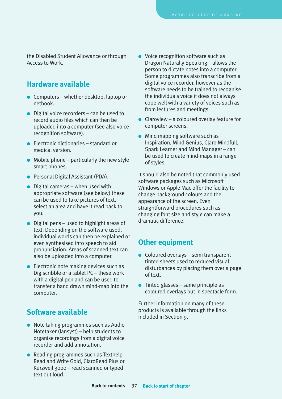<span id="page-38-0"></span>the Disabled Student Allowance or through Access to Work.

## **Hardware available**

- Computers whether desktop, laptop or netbook.
- $\bullet$  Digital voice recorders can be used to record audio files which can then be uploaded into a computer (see also voice recognition software).
- Electronic dictionaries standard or medical version.
- $\bullet$  Mobile phone particularly the new style smart phones.
- Personal Digital Assistant (PDA).
- $\bullet$  Digital cameras when used with appropriate software (see below) these can be used to take pictures of text, select an area and have it read back to you.
- $\bullet$  Digital pens used to highlight areas of text. Depending on the software used, individual words can then be explained or even synthesised into speech to aid pronunciation. Areas of scanned text can also be uploaded into a computer.
- Electronic note making devices such as Digiscribble or a tablet PC – these work with a digital pen and can be used to transfer a hand drawn mind-map into the computer.

## **Software available**

- Note taking programmes such as Audio Notetaker (lansyst) – help students to organise recordings from a digital voice recorder and add annotation.
- Reading programmes such as Texthelp Read and Write Gold, ClaroRead Plus or Kurzweil 3000 – read scanned or typed text out loud.
- Voice recognition software such as Dragon Naturally Speaking – allows the person to dictate notes into a computer. Some programmes also transcribe from a digital voice recorder, however as the software needs to be trained to recognise the individuals voice it does not always cope well with a variety of voices such as from lectures and meetings.
- $\bullet$  Claroview a coloured overlay feature for computer screens.
- Mind mapping software such as Inspiration, Mind Genius, Claro Mindfull, Spark Learner and Mind Manager – can be used to create mind-maps in a range of styles.

It should also be noted that commonly used software packages such as Microsoft Windows or Apple Mac offer the facility to change background colours and the appearance of the screen. Even straightforward procedures such as changing font size and style can make a dramatic difference.

## **Other equipment**

- Coloured overlays semi transparent tinted sheets used to reduced visual disturbances by placing them over a page of text.
- $\bullet$  Tinted glasses same principle as coloured overlays but in spectacle form.

Further information on many of these products is available through the links included in Section 9.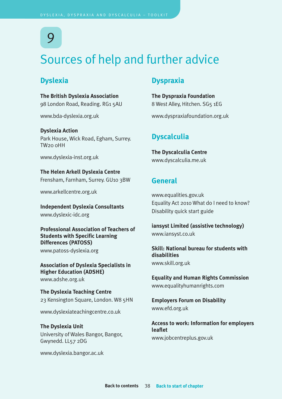## <span id="page-39-0"></span>Sources of help and further advice

## **Dyslexia**

**The British Dyslexia Association** 98 London Road, Reading. RG1 5AU

<www.bda-dyslexia.org.uk>

**Dyslexia Action** Park House, Wick Road, Egham, Surrey. TW20 0HH

<www.dyslexia-inst.org.uk>

**The Helen Arkell Dyslexia Centre** Frensham, Farnham, Surrey. GU10 3BW

<www.arkellcentre.org.uk>

**Independent Dyslexia Consultants** <www.dyslexic-idc.org>

**Professional Association of Teachers of Students with Specific Learning Differences (PATOSS)**

<www.patoss-dyslexia.org>

**Association of Dyslexia Specialists in Higher Education (ADSHE)** <www.adshe.org.uk>

**The Dyslexia Teaching Centre** 23 Kensington Square, London. W8 5HN

<www.dyslexiateachingcentre.co.uk>

**The Dyslexia Unit** University of Wales Bangor, Bangor, Gwynedd. LL57 2DG

<www.dyslexia.bangor.ac.uk>

## **Dyspraxia**

**The Dyspraxia Foundation** 8 West Alley, Hitchen. SG5 1EG

<www.dyspraxiafoundation.org.uk>

## **Dyscalculia**

**The Dyscalculia Centre** <www.dyscalculia.me.uk>

### **General**

<www.equalities.gov.uk> Equality Act 2010 What do I need to know? Disability quick start guide

**iansyst Limited (assistive technology)** <www.iansyst.co.uk>

**Skill: National bureau for students with disabilities** <www.skill.org.uk>

**Equality and Human Rights Commission** <www.equalityhumanrights.com>

**Employers Forum on Disability** <www.efd.org.uk>

**Access to work: Information for employers leaflet** <www.jobcentreplus.gov.uk>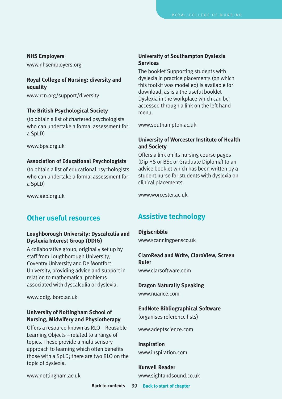#### **NHS Employers**

<www.nhsemployers.org>

#### **Royal College of Nursing: diversity and equality**

<www.rcn.org/support/diversity>

#### **The British Psychological Society**

(to obtain a list of chartered psychologists who can undertake a formal assessment for a SpLD)

<www.bps.org.uk>

#### **Association of Educational Psychologists**

(to obtain a list of educational psychologists who can undertake a formal assessment for a SpLD)

<www.aep.org.uk>

## **Other useful resources**

### **Loughborough University: Dyscalculia and Dyslexia Interest Group (DDIG)**

A collaborative group, originally set up by staff from Loughborough University, Coventry University and De Montfort University, providing advice and support in relation to mathematical problems associated with dyscalculia or dyslexia.

<www.ddig.lboro.ac.uk>

#### **University of Nottingham School of Nursing, Midwifery and Physiotherapy**

Offers a resource known as RLO – Reusable Learning Objects – related to a range of topics. These provide a multi sensory approach to learning which often benefits those with a SpLD; there are two RLO on the topic of dyslexia.

#### **University of Southampton Dyslexia Services**

The booklet Supporting students with dyslexia in practice placements (on which this toolkit was modelled) is available for download, as is a the useful booklet Dyslexia in the workplace which can be accessed through a link on the left hand menu.

<www.southampton.ac.uk>

#### **University of Worcester Institute of Health and Society**

Offers a link on its nursing course pages (Dip HS or BSc or Graduate Diploma) to an advice booklet which has been written by a student nurse for students with dyslexia on clinical placements.

<www.worcester.ac.uk>

## **Assistive technology**

**Digiscribble** <www.scanningpensco.uk>

### **ClaroRead and Write, ClaroView, Screen Ruler**

<www.clarsoftware.com>

#### **Dragon Naturally Speaking**

<www.nuance.com>

#### **EndNote Bibliographical Software**

(organises reference lists)

<www.adeptscience.com>

**Inspiration** <www.inspiration.com>

**Kurweil Reader** <www.sightandsound.co.uk>

<www.nottingham.ac.uk>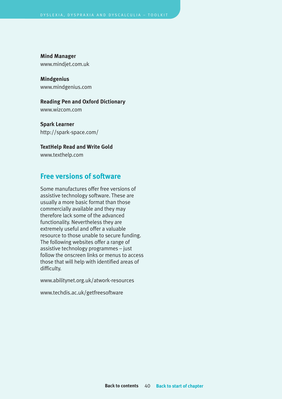**Mind Manager** <www.mindjet.com.uk>

**Mindgenius** <www.mindgenius.com>

### **Reading Pen and Oxford Dictionary**

<www.wizcom.com>

**Spark Learner** [http://spark-space.com/](http://spark-space.com)

**TextHelp Read and Write Gold**

<www.texthelp.com>

## **Free versions of software**

Some manufactures offer free versions of assistive technology software. These are usually a more basic format than those commercially available and they may therefore lack some of the advanced functionality. Nevertheless they are extremely useful and offer a valuable resource to those unable to secure funding. The following websites offer a range of assistive technology programmes – just follow the onscreen links or menus to access those that will help with identified areas of difficulty.

<www.abilitynet.org.uk/atwork-resources>

<www.techdis.ac.uk/getfreesoftware>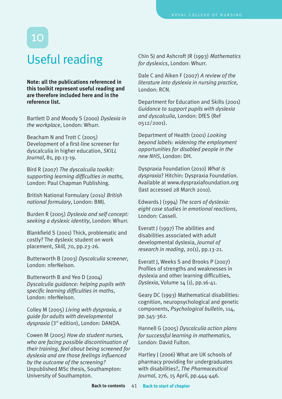## <span id="page-42-0"></span>Useful reading

**Note: all the publications referenced in this toolkit represent useful reading and are therefore included here and in the reference list.**

Bartlett D and Moody S (2000) *Dyslexia in the workplace*, London: Whurr.

Beacham N and Trott C (2005) Development of a first-line screener for dyscalculia in higher education, *SKILL Journal*, 81, pp.13-19.

Bird R (2007) *The dyscalculia toolkit: supporting learning difficulties in maths*, London: Paul Chapman Publishing.

British National Formulary (2010*) British national formulary*, London: BMJ.

Burden R (2005) *Dyslexia and self concept: seeking a dyslexic identity*, London: Whurr.

Blankfield S (2001) Thick, problematic and costly? The dyslexic student on work placement, *Skill,* 70, pp.23-26.

Butterworth B (2003) *Dyscalculia screener*, London: nferNelson.

Butterworth B and Yeo D (2004) *Dyscalculia guidance: helping pupils with specific learning difficulties in maths*, London: nferNelson.

Colley M (2005) *Living with dyspraxia, a guide for adults with developmental dyspraxia* (3rd edition), London: DANDA.

Cowen M (2005) *How do student nurses, who are facing possible discontinuation of their training, feel about being screened for dyslexia and are those feelings influenced by the outcome of the screening?* Unpublished MSc thesis, Southampton: University of Southampton.

Chin SJ and Ashcroft JR (1993) *Mathematics for dyslexics*, London: Whurr.

Dale C and Aiken F (2007) *A review of the literature into dyslexia in nursing practice,* London: RCN.

Department for Education and Skills (2001) *Guidance to support pupils with dyslexia and dyscalculia*, London: DfES (Ref 0512/2001).

Department of Health (2001) *Looking beyond labels: widening the employment opportunities for disabled people in the new NHS*, London: DH.

Dyspraxia Foundation (2010) *What is dyspraxia*? Hitchin: Dyspraxia Foundation. Available at www.dyspraxiafoundation.org (last accessed 28 March 2010).

Edwards J (1994) *The scars of dyslexia: eight case studies in emotional reactions*, London: Cassell.

Everatt J (1997) The abilities and disabilities associated with adult developmental dyslexia, *Journal of research in reading*, 20(1), pp.13-21.

Everatt J, Weeks S and Brooks P (2007) Profiles of strengths and weaknesses in dyslexia and other learning difficulties, *Dyslexia*, Volume 14 (1), pp.16-41.

Geary DC (1993) Mathematical disabilities: cognition, neuropsychological and genetic components, *Psychological bulletin*, 114, pp.345-362.

Hannell G (2005) *Dyscalculia action plans for successful learning in mathematics*, London: David Fulton.

Hartley J (2006) What are UK schools of pharmacy providing for undergraduates with disabilities?, *The Pharmaceutical Journal*, 276, 15 April, pp.444-446.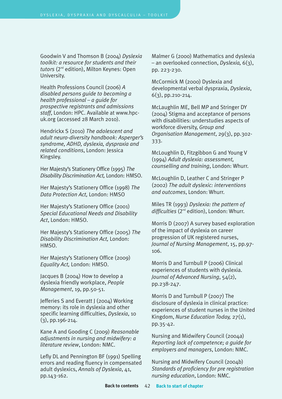Goodwin V and Thomson B (2004) *Dyslexia toolkit: a resource for students and their tutors* (2nd edition), Milton Keynes: Open University.

Health Professions Council (2006) *A disabled persons guide to becoming a health professional – a guide for prospective registrants and admissions staff*, London: HPC. Available at www.hpcuk.org (accessed 28 March 2010).

Hendrickx S (2010) *The adolescent and adult neuro-diversity handbook: Asperger's syndrome, ADHD, dyslexia, dyspraxia and related conditions*, London: Jessica Kingsley.

Her Majesty's Stationery Office (1995) *The Disability Discrimination Act,* London: HMSO.

Her Majesty's Stationery Office (1998) *The Data Protection Act,* London: HMSO

Her Majesty's Stationery Office (2001) *Special Educational Needs and Disability Act*, London: HMSO.

Her Majesty's Stationery Office (2005) *The Disability Discrimination Act,* London: HMSO.

Her Majesty's Stationery Office (2009) *Equality Act,* London: HMSO.

Jacques B (2004) How to develop a dyslexia friendly workplace, *People Management*, 19, pp.50-51.

Jefferies S and Everatt J (2004) Working memory: its role in dyslexia and other specific learning difficulties, *Dyslexia*, 10 (3), pp.196-214.

Kane A and Gooding C (2009) *Reasonable adjustments in nursing and midwifery: a literature review*, London: NMC.

Lefly DL and Pennington BF (1991) Spelling errors and reading fluency in compensated adult dyslexics, *Annals of Dyslexia*, 41, pp.143-162.

Malmer G (2000) Mathematics and dyslexia – an overlooked connection, *Dyslexia,* 6(3), pp. 223-230.

McCormick M (2000) Dyslexia and developmental verbal dyspraxia, *Dyslexia*,  $6(3)$ , pp. 210 - 214.

McLaughlin ME, Bell MP and Stringer DY (2004) Stigma and acceptance of persons with disabilities: understudies aspects of workforce diversity, *Group and Organisation Management*, 29(3), pp.302- 333.

McLoughlin D, Fitzgibbon G and Young V (1994) *Adult dyslexia: assessment, counselling and training*, London: Whurr.

McLoughlin D, Leather C and Stringer P (2002) *The adult dyslexic: interventions and outcomes*, London: Whurr.

Miles TR (1993) *Dyslexia: the pattern of difficulties* (2nd edition), London: Whurr.

Morris D (2007) A survey based exploration of the impact of dyslexia on career progression of UK registered nurses, *Journal of Nursing Management*, 15, pp.97- 106.

Morris D and Turnbull P (2006) Clinical experiences of students with dyslexia. *Journal of Advanced Nursing*, 54(2), pp.238-247.

Morris D and Turnbull P (2007) The disclosure of dyslexia in clinical practice: experiences of student nurses in the United Kingdom, *Nurse Education Today,* 27(1), pp.35-42.

Nursing and Midwifery Council (2004a) *Reporting lack of competence; a guide for employers and managers*, London: NMC.

Nursing and Midwifery Council (2004b) *Standards of proficiency for pre registration nursing education*, London: NMC.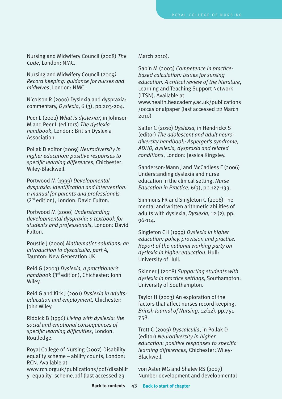Nursing and Midwifery Council (2008) *The Code*, London: NMC.

Nursing and Midwifery Council (2009*) Record keeping: guidance for nurses and midwives*, London: NMC.

Nicolson R (2000) Dyslexia and dyspraxia: commentary, *Dyslexia*, 6 (3), pp.203-204.

Peer L (2002) *What is dyslexia?*, in Johnson M and Peer L (editors) *The dyslexia handbook*, London: British Dyslexia Association.

Pollak D editor (2009) *Neurodiversity in higher education: positive responses to specific learning differences*, Chichester: Wiley-Blackwell.

Portwood M (1999) *Developmental dyspraxia: identification and intervention: a manual for parents and professionals* (2nd edition), London: David Fulton.

Portwood M (2000) *Understanding developmental dyspraxia: a textbook for students and professionals*, London: David Fulton.

Poustie J (2000) *Mathematics solutions: an introduction to dyscalculia, part A*, Taunton: New Generation UK.

Reid G (2003) *Dyslexia, a practitioner's handbook* (3rd edition), Chichester: John Wiley.

Reid G and Kirk J (2001) *Dyslexia in adults: education and employment,* Chichester: John Wiley.

Riddick B (1996) *Living with dyslexia: the social and emotional consequences of specific learning difficulties*, London: Routledge.

Royal College of Nursing (2007) Disability equality scheme – ability counts, London: RCN. Available at

[www.rcn.org.uk/publications/pdf/disabilit](www.rcn.org.uk/publications/pdf/disability_equality_scheme.pdf) [y\\_equality\\_scheme.pdf](www.rcn.org.uk/publications/pdf/disability_equality_scheme.pdf) (last accessed 23

March 2010).

Sabin M (2003) *Competence in practicebased calculation: issues for sursing education. A critical review of the literature*, Learning and Teaching Support Network (LTSN). Available at

www.health.heacademy.ac.uk/publications /occasionalpaper (last accessed 22 March 2010)

Salter C (2010) *Dyslexia*, in Hendrickx S (editor) *The adolescent and adult neurodiversity handbook: Asperger's syndrome, ADHD, dyslexia, dyspraxia and related conditions*, London: Jessica Kingsley.

Sanderson-Mann J and McCadless F (2006) Understanding dyslexia and nurse education in the clinical setting, *Nurse Education in Practice*, 6(3), pp.127-133.

Simmons FR and Singleton C (2006) The mental and written arithmetic abilities of adults with dyslexia, *Dyslexia*, 12 (2), pp. 96-114.

Singleton CH (1999) *Dyslexia in higher education: policy, provision and practice. Report of the national working party on dyslexia in higher education*, Hull: University of Hull.

Skinner J (2008) *Supporting students with dyslexia in practice settings*, Southampton: University of Southampton.

Taylor H (2003) An exploration of the factors that affect nurses record keeping, *British Journal of Nursing*, 12(12), pp.751- 758.

Trott C (2009) *Dyscalculia*, in Pollak D (editor) *Neurodiversity in higher education: positive responses to specific learning differences*, Chichester: Wiley-Blackwell.

von Aster MG and Shalev RS (2007) Number development and developmental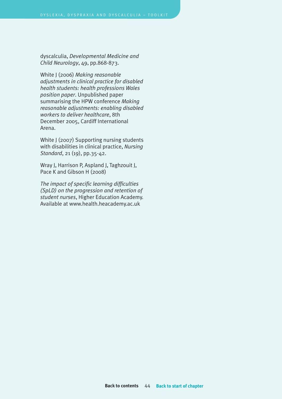dyscalculia, *Developmental Medicine and Child Neurology*, 49, pp.868-873.

White J (2006) *Making reasonable adjustments in clinical practice for disabled health students: health professions Wales position paper*. Unpublished paper summarising the HPW conference *Making reasonable adjustments: enabling disabled workers to deliver healthcare*, 8th December 2005, Cardiff International Arena.

White J (2007) Supporting nursing students with disabilities in clinical practice, *Nursing Standard*, 21 (19), pp.35-42.

Wray J, Harrison P, Aspland J, Taghzouit J, Pace K and Gibson H (2008)

*The impact of specific learning difficulties (SpLD) on the progression and retention of student nurses*, Higher Education Academy. Available at www.health.heacademy.ac.uk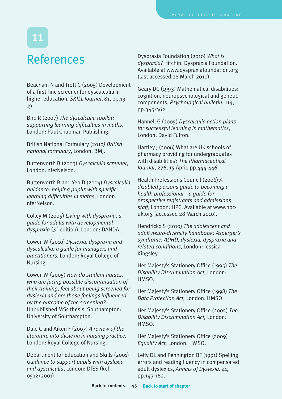## <span id="page-46-0"></span>References

Beacham N and Trott C (2005) Development of a first-line screener for dyscalculia in higher education, *SKILL Journal*, 81, pp.13- 19.

Bird R (2007) *The dyscalculia toolkit: supporting learning difficulties in maths*, London: Paul Chapman Publishing.

British National Formulary (2010*) British national formulary*, London: BMJ.

Butterworth B (2003) *Dyscalculia screener*, London: nferNelson.

Butterworth B and Yeo D (2004) *Dyscalculia guidance: helping pupils with specific learning difficulties in maths*, London: nferNelson.

Colley M (2005) *Living with dyspraxia, a guide for adults with developmental dyspraxia* (3rd edition), London: DANDA.

Cowen M (2010) *Dyslexia, dyspraxia and dyscalculia: a guide for managers and practitioners*, London: Royal College of Nursing.

Cowen M (2005) *How do student nurses, who are facing possible discontinuation of their training, feel about being screened for dyslexia and are those feelings influenced by the outcome of the screening?* Unpublished MSc thesis, Southampton: University of Southampton.

Dale C and Aiken F (2007) *A review of the literature into dyslexia in nursing practice,* London: Royal College of Nursing.

Department for Education and Skills (2001) *Guidance to support pupils with dyslexia and dyscalculia*, London: DfES (Ref 0512/2001).

Dyspraxia Foundation (2010) *What is dyspraxia*? Hitchin: Dyspraxia Foundation. Available at www.dyspraxiafoundation.org (last accessed 28 March 2010).

Geary DC (1993) Mathematical disabilities: cognition, neuropsychological and genetic components, *Psychological bulletin*, 114, pp.345-362.

Hannell G (2005) *Dyscalculia action plans for successful learning in mathematics*, London: David Fulton.

Hartley J (2006) What are UK schools of pharmacy providing for undergraduates with disabilities? *The Pharmaceutical Journal*, 276, 15 April, pp.444-446.

Health Professions Council (2006) *A disabled persons guide to becoming a health professional – a guide for prospective registrants and admissions staff*, London: HPC. Available at www.hpcuk.org (accessed 28 March 2010).

Hendrickx S (2010) *The adolescent and adult neuro-diversity handbook: Asperger's syndrome, ADHD, dyslexia, dyspraxia and related conditions*, London: Jessica Kingsley.

Her Majesty's Stationery Office (1995) *The Disability Discrimination Act,* London: HMSO.

Her Majesty's Stationery Office (1998) *The Data Protection Act,* London: HMSO

Her Majesty's Stationery Office (2005) *The Disability Discrimination Act,* London: HMSO.

Her Majesty's Stationery Office (2009) *Equality Act,* London: HMSO.

Lefly DL and Pennington BF (1991) Spelling errors and reading fluency in compensated adult dyslexics, *Annals of Dyslexia,* 41, pp.143-162.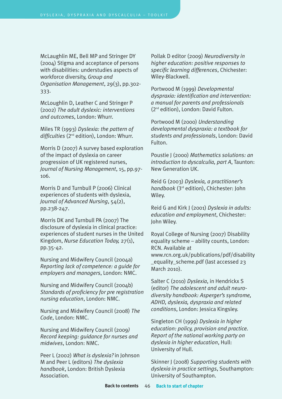McLaughlin ME, Bell MP and Stringer DY (2004) Stigma and acceptance of persons with disabilities: understudies aspects of workforce diversity, *Group and Organisation Management*, 29(3), pp.302- 333.

McLoughlin D, Leather C and Stringer P (2002) *The adult dyslexic: interventions and outcomes*, London: Whurr.

Miles TR (1993) *Dyslexia: the pattern of difficulties* (2nd edition), London: Whurr.

Morris D (2007) A survey based exploration of the impact of dyslexia on career progression of UK registered nurses, *Journal of Nursing Management*, 15, pp.97- 106.

Morris D and Turnbull P (2006) Clinical experiences of students with dyslexia, *Journal of Advanced Nursing*, 54(2), pp.238-247.

Morris DK and Turnbull PA (2007) The disclosure of dyslexia in clinical practice: experiences of student nurses in the United Kingdom, *Nurse Education Today,* 27(1), pp.35-42.

Nursing and Midwifery Council (2004a) *Reporting lack of competence: a guide for employers and managers*, London: NMC.

Nursing and Midwifery Council (2004b) *Standards of proficiency for pre registration nursing education*, London: NMC.

Nursing and Midwifery Council (2008) *The Code*, London: NMC.

Nursing and Midwifery Council (2009*) Record keeping: guidance for nurses and midwives*, London: NMC.

Peer L (2002) *What is dyslexia?* in Johnson M and Peer L (editors) *The dyslexia handbook*, London: British Dyslexia Association.

Pollak D editor (2009) *Neurodiversity in higher education: positive responses to specific learning differences*, Chichester: Wiley-Blackwell.

Portwood M (1999) *Developmental dyspraxia: identification and intervention: a manual for parents and professionals* (2nd edition), London: David Fulton.

Portwood M (2000) *Understanding developmental dyspraxia: a textbook for students and professionals*, London: David Fulton.

Poustie J (2000) *Mathematics solutions: an introduction to dyscalculia, part A*, Taunton: New Generation UK.

Reid G (2003) *Dyslexia, a practitioner's handbook* (3rd edition), Chichester: John Wiley.

Reid G and Kirk J (2001) *Dyslexia in adults: education and employment*, Chichester: John Wiley.

Royal College of Nursing (2007) Disability equality scheme – ability counts, London: RCN. Available at www.rcn.org.uk/publications/pdf/disability equality scheme.pdf (last accessed 23 March 2010).

Salter C (2010) *Dyslexia*, in Hendrickx S (editor) *The adolescent and adult neurodiversity handbook: Asperger's syndrome, ADHD, dyslexia, dyspraxia and related conditions*, London: Jessica Kingsley.

Singleton CH (1999) *Dyslexia in higher education: policy, provision and practice. Report of the national working party on dyslexia in higher education*, Hull: University of Hull.

Skinner J (2008) *Supporting students with dyslexia in practice settings*, Southampton: University of Southampton.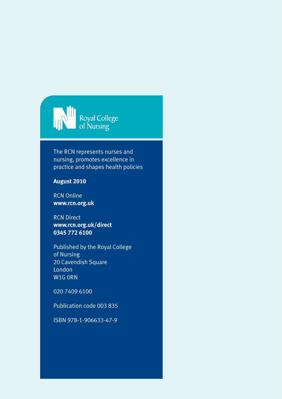

The RCN represents nurses and nursing, promotes excellence in practice and shapes health policies

### **August 2010**

RCN Online **www.rcn.org.uk**

RCN Direct **www.rcn.org.uk/direct 0345 772 6100**

Published by the Royal College of Nursing 20 Cavendish Square London W1G 0RN

020 7409 6100

Publication code 003 835

ISBN 978-1-906633-47-9